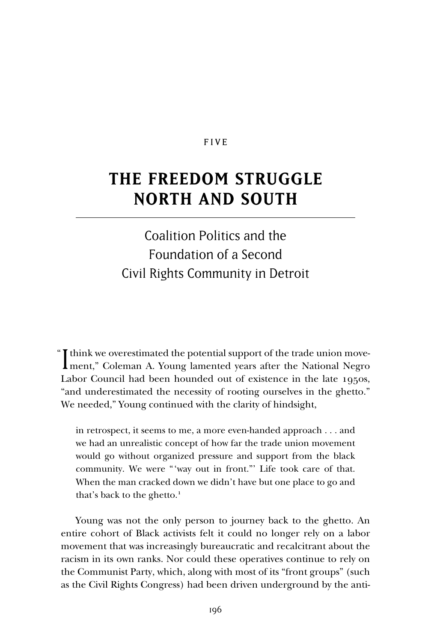### five

# **THE FREEDOM STRUGGLE NORTH AND SOUTH**

Coalition Politics and the Foundation of a Second Civil Rights Community in Detroit

I think we overestimated the potential support of the trade union movement," Coleman A. Young lamented years after the National Negro  $\mathbf{T}$  think we overestimated the potential support of the trade union move-Labor Council had been hounded out of existence in the late 1950s, "and underestimated the necessity of rooting ourselves in the ghetto." We needed," Young continued with the clarity of hindsight,

in retrospect, it seems to me, a more even-handed approach . . . and we had an unrealistic concept of how far the trade union movement would go without organized pressure and support from the black community. We were "'way out in front."' Life took care of that. When the man cracked down we didn't have but one place to go and that's back to the ghetto.<sup>1</sup>

Young was not the only person to journey back to the ghetto. An entire cohort of Black activists felt it could no longer rely on a labor movement that was increasingly bureaucratic and recalcitrant about the racism in its own ranks. Nor could these operatives continue to rely on the Communist Party, which, along with most of its "front groups" (such as the Civil Rights Congress) had been driven underground by the anti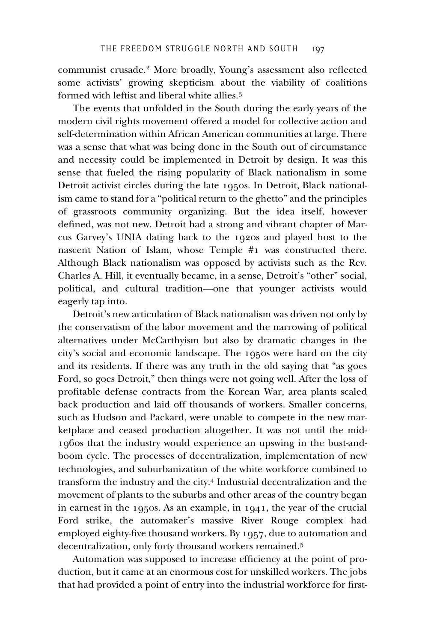communist crusade.<sup>2</sup> More broadly, Young's assessment also reflected some activists' growing skepticism about the viability of coalitions formed with leftist and liberal white allies.<sup>3</sup>

The events that unfolded in the South during the early years of the modern civil rights movement offered a model for collective action and self-determination within African American communities at large. There was a sense that what was being done in the South out of circumstance and necessity could be implemented in Detroit by design. It was this sense that fueled the rising popularity of Black nationalism in some Detroit activist circles during the late 1950s. In Detroit, Black nationalism came to stand for a "political return to the ghetto" and the principles of grassroots community organizing. But the idea itself, however defined, was not new. Detroit had a strong and vibrant chapter of Marcus Garvey's UNIA dating back to the 1920s and played host to the nascent Nation of Islam, whose Temple #1 was constructed there. Although Black nationalism was opposed by activists such as the Rev. Charles A. Hill, it eventually became, in a sense, Detroit's "other" social, political, and cultural tradition—one that younger activists would eagerly tap into.

Detroit's new articulation of Black nationalism was driven not only by the conservatism of the labor movement and the narrowing of political alternatives under McCarthyism but also by dramatic changes in the city's social and economic landscape. The 1950s were hard on the city and its residents. If there was any truth in the old saying that "as goes Ford, so goes Detroit," then things were not going well. After the loss of profitable defense contracts from the Korean War, area plants scaled back production and laid off thousands of workers. Smaller concerns, such as Hudson and Packard, were unable to compete in the new marketplace and ceased production altogether. It was not until the mid-1960s that the industry would experience an upswing in the bust-andboom cycle. The processes of decentralization, implementation of new technologies, and suburbanization of the white workforce combined to transform the industry and the city.4 Industrial decentralization and the movement of plants to the suburbs and other areas of the country began in earnest in the 1950s. As an example, in 1941, the year of the crucial Ford strike, the automaker's massive River Rouge complex had employed eighty-five thousand workers. By 1957, due to automation and decentralization, only forty thousand workers remained.5

Automation was supposed to increase efficiency at the point of production, but it came at an enormous cost for unskilled workers. The jobs that had provided a point of entry into the industrial workforce for first-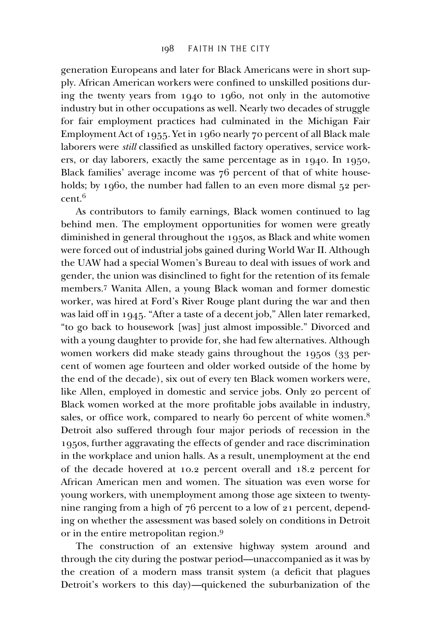generation Europeans and later for Black Americans were in short supply. African American workers were confined to unskilled positions during the twenty years from 1940 to 1960, not only in the automotive industry but in other occupations as well. Nearly two decades of struggle for fair employment practices had culminated in the Michigan Fair Employment Act of 1955. Yet in 1960 nearly 70 percent of all Black male laborers were *still* classified as unskilled factory operatives, service workers, or day laborers, exactly the same percentage as in 1940. In 1950, Black families' average income was 76 percent of that of white households; by 1960, the number had fallen to an even more dismal 52 percent.6

As contributors to family earnings, Black women continued to lag behind men. The employment opportunities for women were greatly diminished in general throughout the 1950s, as Black and white women were forced out of industrial jobs gained during World War II. Although the UAW had a special Women's Bureau to deal with issues of work and gender, the union was disinclined to fight for the retention of its female members.7 Wanita Allen, a young Black woman and former domestic worker, was hired at Ford's River Rouge plant during the war and then was laid off in 1945. "After a taste of a decent job," Allen later remarked, "to go back to housework [was] just almost impossible." Divorced and with a young daughter to provide for, she had few alternatives. Although women workers did make steady gains throughout the 1950s (33 percent of women age fourteen and older worked outside of the home by the end of the decade), six out of every ten Black women workers were, like Allen, employed in domestic and service jobs. Only 20 percent of Black women worked at the more profitable jobs available in industry, sales, or office work, compared to nearly 60 percent of white women.<sup>8</sup> Detroit also suffered through four major periods of recession in the 1950s, further aggravating the effects of gender and race discrimination in the workplace and union halls. As a result, unemployment at the end of the decade hovered at 10.2 percent overall and 18.2 percent for African American men and women. The situation was even worse for young workers, with unemployment among those age sixteen to twentynine ranging from a high of 76 percent to a low of 21 percent, depending on whether the assessment was based solely on conditions in Detroit or in the entire metropolitan region.<sup>9</sup>

The construction of an extensive highway system around and through the city during the postwar period—unaccompanied as it was by the creation of a modern mass transit system (a deficit that plagues Detroit's workers to this day)—quickened the suburbanization of the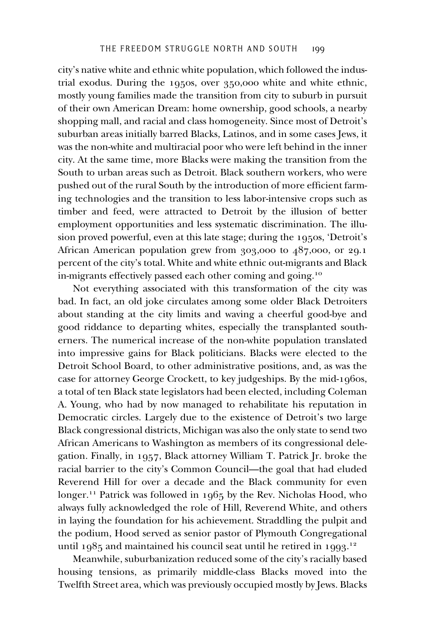city's native white and ethnic white population, which followed the industrial exodus. During the 1950s, over 350,000 white and white ethnic, mostly young families made the transition from city to suburb in pursuit of their own American Dream: home ownership, good schools, a nearby shopping mall, and racial and class homogeneity. Since most of Detroit's suburban areas initially barred Blacks, Latinos, and in some cases Jews, it was the non-white and multiracial poor who were left behind in the inner city. At the same time, more Blacks were making the transition from the South to urban areas such as Detroit. Black southern workers, who were pushed out of the rural South by the introduction of more efficient farming technologies and the transition to less labor-intensive crops such as timber and feed, were attracted to Detroit by the illusion of better employment opportunities and less systematic discrimination. The illusion proved powerful, even at this late stage; during the 1950s, 'Detroit's African American population grew from 303,000 to 487,000, or 29.1 percent of the city's total. White and white ethnic out-migrants and Black in-migrants effectively passed each other coming and going.<sup>10</sup>

Not everything associated with this transformation of the city was bad. In fact, an old joke circulates among some older Black Detroiters about standing at the city limits and waving a cheerful good-bye and good riddance to departing whites, especially the transplanted southerners. The numerical increase of the non-white population translated into impressive gains for Black politicians. Blacks were elected to the Detroit School Board, to other administrative positions, and, as was the case for attorney George Crockett, to key judgeships. By the mid-1960s, a total of ten Black state legislators had been elected, including Coleman A. Young, who had by now managed to rehabilitate his reputation in Democratic circles. Largely due to the existence of Detroit's two large Black congressional districts, Michigan was also the only state to send two African Americans to Washington as members of its congressional delegation. Finally, in 1957, Black attorney William T. Patrick Jr. broke the racial barrier to the city's Common Council—the goal that had eluded Reverend Hill for over a decade and the Black community for even longer.<sup>11</sup> Patrick was followed in 1965 by the Rev. Nicholas Hood, who always fully acknowledged the role of Hill, Reverend White, and others in laying the foundation for his achievement. Straddling the pulpit and the podium, Hood served as senior pastor of Plymouth Congregational until 1985 and maintained his council seat until he retired in 1993.<sup>12</sup>

Meanwhile, suburbanization reduced some of the city's racially based housing tensions, as primarily middle-class Blacks moved into the Twelfth Street area, which was previously occupied mostly by Jews. Blacks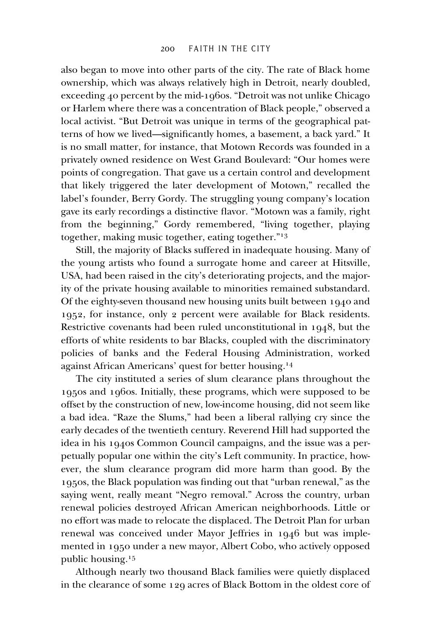also began to move into other parts of the city. The rate of Black home ownership, which was always relatively high in Detroit, nearly doubled, exceeding 40 percent by the mid-1960s. "Detroit was not unlike Chicago or Harlem where there was a concentration of Black people," observed a local activist. "But Detroit was unique in terms of the geographical patterns of how we lived—significantly homes, a basement, a back yard." It is no small matter, for instance, that Motown Records was founded in a privately owned residence on West Grand Boulevard: "Our homes were points of congregation. That gave us a certain control and development that likely triggered the later development of Motown," recalled the label's founder, Berry Gordy. The struggling young company's location gave its early recordings a distinctive flavor. "Motown was a family, right from the beginning," Gordy remembered, "living together, playing together, making music together, eating together."<sup>13</sup>

Still, the majority of Blacks suffered in inadequate housing. Many of the young artists who found a surrogate home and career at Hitsville, USA, had been raised in the city's deteriorating projects, and the majority of the private housing available to minorities remained substandard. Of the eighty-seven thousand new housing units built between 1940 and 1952, for instance, only 2 percent were available for Black residents. Restrictive covenants had been ruled unconstitutional in 1948, but the efforts of white residents to bar Blacks, coupled with the discriminatory policies of banks and the Federal Housing Administration, worked against African Americans' quest for better housing.14

The city instituted a series of slum clearance plans throughout the 1950s and 1960s. Initially, these programs, which were supposed to be offset by the construction of new, low-income housing, did not seem like a bad idea. "Raze the Slums," had been a liberal rallying cry since the early decades of the twentieth century. Reverend Hill had supported the idea in his 1940s Common Council campaigns, and the issue was a perpetually popular one within the city's Left community. In practice, however, the slum clearance program did more harm than good. By the 1950s, the Black population was finding out that "urban renewal," as the saying went, really meant "Negro removal." Across the country, urban renewal policies destroyed African American neighborhoods. Little or no effort was made to relocate the displaced. The Detroit Plan for urban renewal was conceived under Mayor Jeffries in 1946 but was implemented in 1950 under a new mayor, Albert Cobo, who actively opposed public housing.<sup>15</sup>

Although nearly two thousand Black families were quietly displaced in the clearance of some 129 acres of Black Bottom in the oldest core of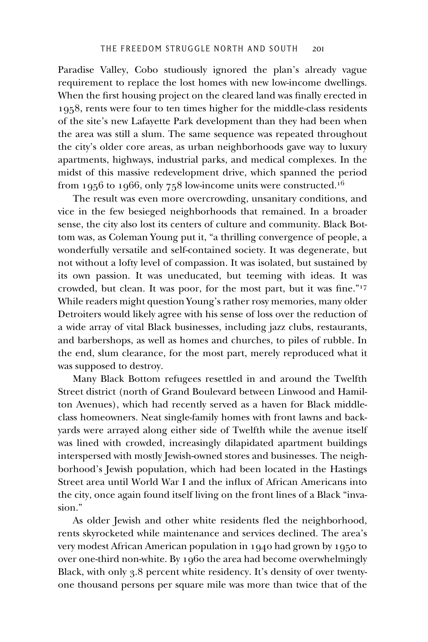Paradise Valley, Cobo studiously ignored the plan's already vague requirement to replace the lost homes with new low-income dwellings. When the first housing project on the cleared land was finally erected in 1958, rents were four to ten times higher for the middle-class residents of the site's new Lafayette Park development than they had been when the area was still a slum. The same sequence was repeated throughout the city's older core areas, as urban neighborhoods gave way to luxury apartments, highways, industrial parks, and medical complexes. In the midst of this massive redevelopment drive, which spanned the period from 1956 to 1966, only  $758$  low-income units were constructed.<sup>16</sup>

The result was even more overcrowding, unsanitary conditions, and vice in the few besieged neighborhoods that remained. In a broader sense, the city also lost its centers of culture and community. Black Bottom was, as Coleman Young put it, "a thrilling convergence of people, a wonderfully versatile and self-contained society. It was degenerate, but not without a lofty level of compassion. It was isolated, but sustained by its own passion. It was uneducated, but teeming with ideas. It was crowded, but clean. It was poor, for the most part, but it was fine."<sup>17</sup> While readers might question Young's rather rosy memories, many older Detroiters would likely agree with his sense of loss over the reduction of a wide array of vital Black businesses, including jazz clubs, restaurants, and barbershops, as well as homes and churches, to piles of rubble. In the end, slum clearance, for the most part, merely reproduced what it was supposed to destroy.

Many Black Bottom refugees resettled in and around the Twelfth Street district (north of Grand Boulevard between Linwood and Hamilton Avenues), which had recently served as a haven for Black middleclass homeowners. Neat single-family homes with front lawns and backyards were arrayed along either side of Twelfth while the avenue itself was lined with crowded, increasingly dilapidated apartment buildings interspersed with mostly Jewish-owned stores and businesses. The neighborhood's Jewish population, which had been located in the Hastings Street area until World War I and the influx of African Americans into the city, once again found itself living on the front lines of a Black "invasion."

As older Jewish and other white residents fled the neighborhood, rents skyrocketed while maintenance and services declined. The area's very modest African American population in 1940 had grown by 1950 to over one-third non-white. By 1960 the area had become overwhelmingly Black, with only 3.8 percent white residency. It's density of over twentyone thousand persons per square mile was more than twice that of the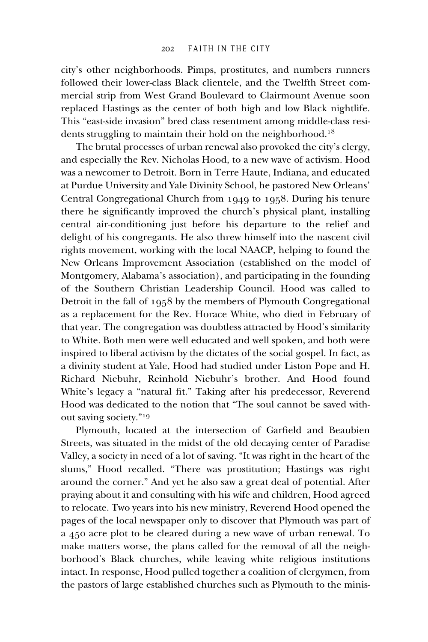city's other neighborhoods. Pimps, prostitutes, and numbers runners followed their lower-class Black clientele, and the Twelfth Street commercial strip from West Grand Boulevard to Clairmount Avenue soon replaced Hastings as the center of both high and low Black nightlife. This "east-side invasion" bred class resentment among middle-class residents struggling to maintain their hold on the neighborhood.<sup>18</sup>

The brutal processes of urban renewal also provoked the city's clergy, and especially the Rev. Nicholas Hood, to a new wave of activism. Hood was a newcomer to Detroit. Born in Terre Haute, Indiana, and educated at Purdue University and Yale Divinity School, he pastored New Orleans' Central Congregational Church from 1949 to 1958. During his tenure there he significantly improved the church's physical plant, installing central air-conditioning just before his departure to the relief and delight of his congregants. He also threw himself into the nascent civil rights movement, working with the local NAACP, helping to found the New Orleans Improvement Association (established on the model of Montgomery, Alabama's association), and participating in the founding of the Southern Christian Leadership Council. Hood was called to Detroit in the fall of 1958 by the members of Plymouth Congregational as a replacement for the Rev. Horace White, who died in February of that year. The congregation was doubtless attracted by Hood's similarity to White. Both men were well educated and well spoken, and both were inspired to liberal activism by the dictates of the social gospel. In fact, as a divinity student at Yale, Hood had studied under Liston Pope and H. Richard Niebuhr, Reinhold Niebuhr's brother. And Hood found White's legacy a "natural fit." Taking after his predecessor, Reverend Hood was dedicated to the notion that "The soul cannot be saved without saving society."<sup>19</sup>

Plymouth, located at the intersection of Garfield and Beaubien Streets, was situated in the midst of the old decaying center of Paradise Valley, a society in need of a lot of saving. "It was right in the heart of the slums," Hood recalled. "There was prostitution; Hastings was right around the corner." And yet he also saw a great deal of potential. After praying about it and consulting with his wife and children, Hood agreed to relocate. Two years into his new ministry, Reverend Hood opened the pages of the local newspaper only to discover that Plymouth was part of a 450 acre plot to be cleared during a new wave of urban renewal. To make matters worse, the plans called for the removal of all the neighborhood's Black churches, while leaving white religious institutions intact. In response, Hood pulled together a coalition of clergymen, from the pastors of large established churches such as Plymouth to the minis-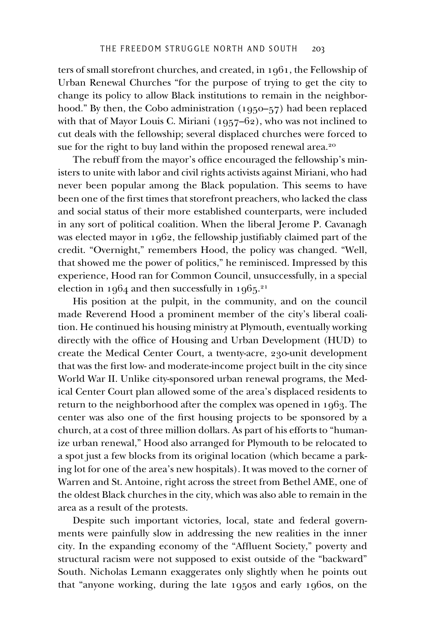ters of small storefront churches, and created, in 1961, the Fellowship of Urban Renewal Churches "for the purpose of trying to get the city to change its policy to allow Black institutions to remain in the neighborhood." By then, the Cobo administration (1950–57) had been replaced with that of Mayor Louis C. Miriani (1957–62), who was not inclined to cut deals with the fellowship; several displaced churches were forced to sue for the right to buy land within the proposed renewal area.<sup>20</sup>

The rebuff from the mayor's office encouraged the fellowship's ministers to unite with labor and civil rights activists against Miriani, who had never been popular among the Black population. This seems to have been one of the first times that storefront preachers, who lacked the class and social status of their more established counterparts, were included in any sort of political coalition. When the liberal Jerome P. Cavanagh was elected mayor in  $1962$ , the fellowship justifiably claimed part of the credit. "Overnight," remembers Hood, the policy was changed. "Well, that showed me the power of politics," he reminisced. Impressed by this experience, Hood ran for Common Council, unsuccessfully, in a special election in 1964 and then successfully in 1965.<sup>21</sup>

His position at the pulpit, in the community, and on the council made Reverend Hood a prominent member of the city's liberal coalition. He continued his housing ministry at Plymouth, eventually working directly with the office of Housing and Urban Development (HUD) to create the Medical Center Court, a twenty-acre, 230-unit development that was the first low- and moderate-income project built in the city since World War II. Unlike city-sponsored urban renewal programs, the Medical Center Court plan allowed some of the area's displaced residents to return to the neighborhood after the complex was opened in 1963. The center was also one of the first housing projects to be sponsored by a church, at a cost of three million dollars. As part of his efforts to "humanize urban renewal," Hood also arranged for Plymouth to be relocated to a spot just a few blocks from its original location (which became a parking lot for one of the area's new hospitals). It was moved to the corner of Warren and St. Antoine, right across the street from Bethel AME, one of the oldest Black churches in the city, which was also able to remain in the area as a result of the protests.

Despite such important victories, local, state and federal governments were painfully slow in addressing the new realities in the inner city. In the expanding economy of the "Affluent Society," poverty and structural racism were not supposed to exist outside of the "backward" South. Nicholas Lemann exaggerates only slightly when he points out that "anyone working, during the late 1950s and early 1960s, on the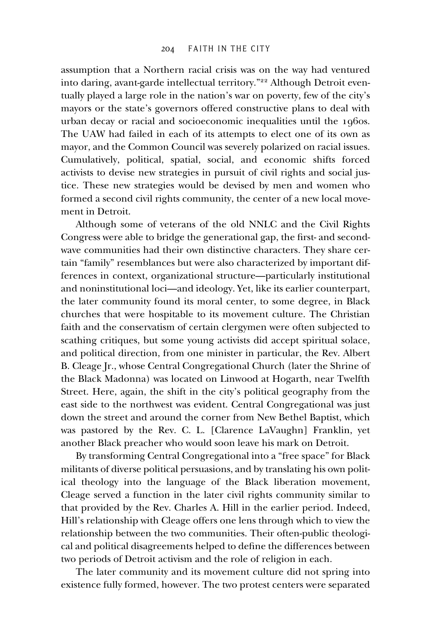assumption that a Northern racial crisis was on the way had ventured into daring, avant-garde intellectual territory."22 Although Detroit eventually played a large role in the nation's war on poverty, few of the city's mayors or the state's governors offered constructive plans to deal with urban decay or racial and socioeconomic inequalities until the 1960s. The UAW had failed in each of its attempts to elect one of its own as mayor, and the Common Council was severely polarized on racial issues. Cumulatively, political, spatial, social, and economic shifts forced activists to devise new strategies in pursuit of civil rights and social justice. These new strategies would be devised by men and women who formed a second civil rights community, the center of a new local movement in Detroit.

Although some of veterans of the old NNLC and the Civil Rights Congress were able to bridge the generational gap, the first- and secondwave communities had their own distinctive characters. They share certain "family" resemblances but were also characterized by important differences in context, organizational structure—particularly institutional and noninstitutional loci—and ideology. Yet, like its earlier counterpart, the later community found its moral center, to some degree, in Black churches that were hospitable to its movement culture. The Christian faith and the conservatism of certain clergymen were often subjected to scathing critiques, but some young activists did accept spiritual solace, and political direction, from one minister in particular, the Rev. Albert B. Cleage Jr., whose Central Congregational Church (later the Shrine of the Black Madonna) was located on Linwood at Hogarth, near Twelfth Street. Here, again, the shift in the city's political geography from the east side to the northwest was evident. Central Congregational was just down the street and around the corner from New Bethel Baptist, which was pastored by the Rev. C. L. [Clarence LaVaughn] Franklin, yet another Black preacher who would soon leave his mark on Detroit.

By transforming Central Congregational into a "free space" for Black militants of diverse political persuasions, and by translating his own political theology into the language of the Black liberation movement, Cleage served a function in the later civil rights community similar to that provided by the Rev. Charles A. Hill in the earlier period. Indeed, Hill's relationship with Cleage offers one lens through which to view the relationship between the two communities. Their often-public theological and political disagreements helped to define the differences between two periods of Detroit activism and the role of religion in each.

The later community and its movement culture did not spring into existence fully formed, however. The two protest centers were separated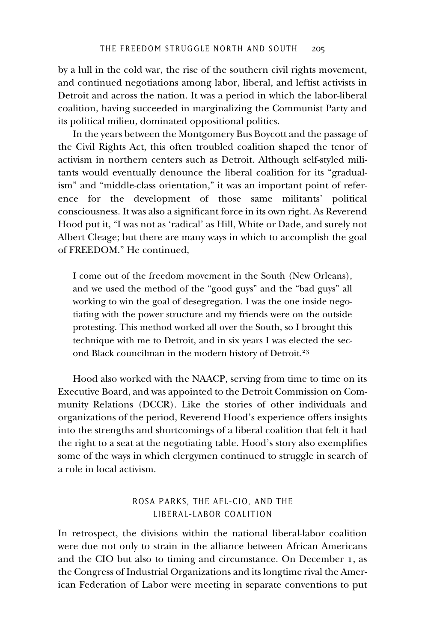by a lull in the cold war, the rise of the southern civil rights movement, and continued negotiations among labor, liberal, and leftist activists in Detroit and across the nation. It was a period in which the labor-liberal coalition, having succeeded in marginalizing the Communist Party and its political milieu, dominated oppositional politics.

In the years between the Montgomery Bus Boycott and the passage of the Civil Rights Act, this often troubled coalition shaped the tenor of activism in northern centers such as Detroit. Although self-styled militants would eventually denounce the liberal coalition for its "gradualism" and "middle-class orientation," it was an important point of reference for the development of those same militants' political consciousness. It was also a significant force in its own right. As Reverend Hood put it, "I was not as 'radical' as Hill, White or Dade, and surely not Albert Cleage; but there are many ways in which to accomplish the goal of FREEDOM." He continued,

I come out of the freedom movement in the South (New Orleans), and we used the method of the "good guys" and the "bad guys" all working to win the goal of desegregation. I was the one inside negotiating with the power structure and my friends were on the outside protesting. This method worked all over the South, so I brought this technique with me to Detroit, and in six years I was elected the second Black councilman in the modern history of Detroit.<sup>23</sup>

Hood also worked with the NAACP, serving from time to time on its Executive Board, and was appointed to the Detroit Commission on Community Relations (DCCR). Like the stories of other individuals and organizations of the period, Reverend Hood's experience offers insights into the strengths and shortcomings of a liberal coalition that felt it had the right to a seat at the negotiating table. Hood's story also exemplifies some of the ways in which clergymen continued to struggle in search of a role in local activism.

## ROSA PARKS, THE AFL-CIO, AND THE LIBERAL-LABOR COALITION

In retrospect, the divisions within the national liberal-labor coalition were due not only to strain in the alliance between African Americans and the CIO but also to timing and circumstance. On December 1, as the Congress of Industrial Organizations and its longtime rival the American Federation of Labor were meeting in separate conventions to put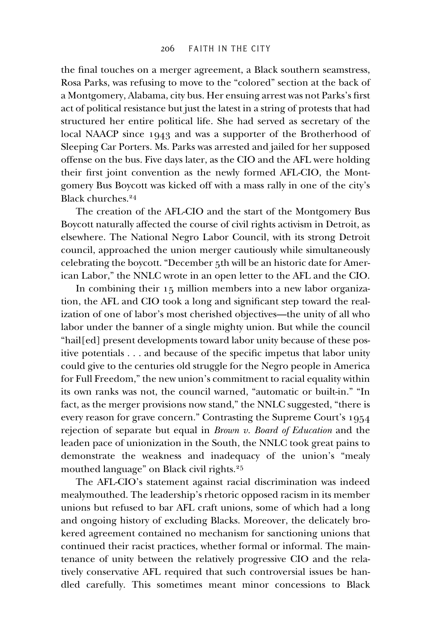the final touches on a merger agreement, a Black southern seamstress, Rosa Parks, was refusing to move to the "colored" section at the back of a Montgomery, Alabama, city bus. Her ensuing arrest was not Parks's first act of political resistance but just the latest in a string of protests that had structured her entire political life. She had served as secretary of the local NAACP since 1943 and was a supporter of the Brotherhood of Sleeping Car Porters. Ms. Parks was arrested and jailed for her supposed offense on the bus. Five days later, as the CIO and the AFL were holding their first joint convention as the newly formed AFL-CIO, the Montgomery Bus Boycott was kicked off with a mass rally in one of the city's Black churches.24

The creation of the AFL-CIO and the start of the Montgomery Bus Boycott naturally affected the course of civil rights activism in Detroit, as elsewhere. The National Negro Labor Council, with its strong Detroit council, approached the union merger cautiously while simultaneously celebrating the boycott. "December 5th will be an historic date for American Labor," the NNLC wrote in an open letter to the AFL and the CIO.

In combining their 15 million members into a new labor organization, the AFL and CIO took a long and significant step toward the realization of one of labor's most cherished objectives—the unity of all who labor under the banner of a single mighty union. But while the council "hail[ed] present developments toward labor unity because of these positive potentials  $\ldots$  and because of the specific impetus that labor unity could give to the centuries old struggle for the Negro people in America for Full Freedom," the new union's commitment to racial equality within its own ranks was not, the council warned, "automatic or built-in." "In fact, as the merger provisions now stand," the NNLC suggested, "there is every reason for grave concern." Contrasting the Supreme Court's 1954 rejection of separate but equal in *Brown v. Board of Education* and the leaden pace of unionization in the South, the NNLC took great pains to demonstrate the weakness and inadequacy of the union's "mealy mouthed language" on Black civil rights.<sup>25</sup>

The AFL-CIO's statement against racial discrimination was indeed mealymouthed. The leadership's rhetoric opposed racism in its member unions but refused to bar AFL craft unions, some of which had a long and ongoing history of excluding Blacks. Moreover, the delicately brokered agreement contained no mechanism for sanctioning unions that continued their racist practices, whether formal or informal. The maintenance of unity between the relatively progressive CIO and the relatively conservative AFL required that such controversial issues be handled carefully. This sometimes meant minor concessions to Black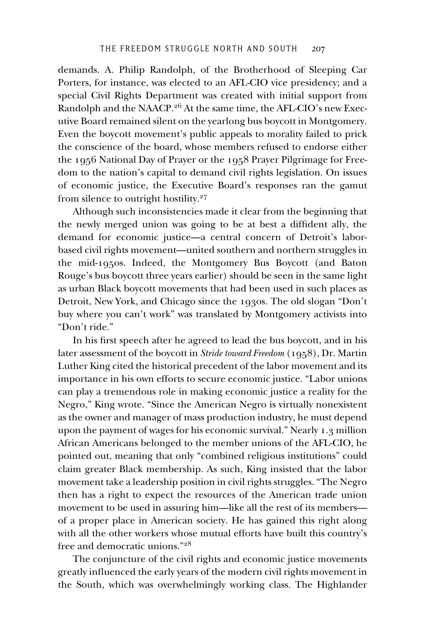demands. A. Philip Randolph, of the Brotherhood of Sleeping Car Porters, for instance, was elected to an AFL-CIO vice presidency; and a special Civil Rights Department was created with initial support from Randolph and the NAACP.<sup>26</sup> At the same time, the AFL-CIO's new Executive Board remained silent on the yearlong bus boycott in Montgomery. Even the boycott movement's public appeals to morality failed to prick the conscience of the board, whose members refused to endorse either the 1956 National Day of Prayer or the 1958 Prayer Pilgrimage for Freedom to the nation's capital to demand civil rights legislation. On issues of economic justice, the Executive Board's responses ran the gamut from silence to outright hostility.<sup>27</sup>

Although such inconsistencies made it clear from the beginning that the newly merged union was going to be at best a diffident ally, the demand for economic justice—a central concern of Detroit's laborbased civil rights movement—united southern and northern struggles in the mid-1950s. Indeed, the Montgomery Bus Boycott (and Baton Rouge's bus boycott three years earlier) should be seen in the same light as urban Black boycott movements that had been used in such places as Detroit, New York, and Chicago since the 1930s. The old slogan "Don't buy where you can't work" was translated by Montgomery activists into "Don't ride."

In his first speech after he agreed to lead the bus boycott, and in his later assessment of the boycott in *Stride toward Freedom* (1958), Dr. Martin Luther King cited the historical precedent of the labor movement and its importance in his own efforts to secure economic justice. "Labor unions can play a tremendous role in making economic justice a reality for the Negro," King wrote. "Since the American Negro is virtually nonexistent as the owner and manager of mass production industry, he must depend upon the payment of wages for his economic survival." Nearly 1.3 million African Americans belonged to the member unions of the AFL-CIO, he pointed out, meaning that only "combined religious institutions" could claim greater Black membership. As such, King insisted that the labor movement take a leadership position in civil rights struggles. "The Negro then has a right to expect the resources of the American trade union movement to be used in assuring him—like all the rest of its members of a proper place in American society. He has gained this right along with all the other workers whose mutual efforts have built this country's free and democratic unions."28

The conjuncture of the civil rights and economic justice movements greatly influenced the early years of the modern civil rights movement in the South, which was overwhelmingly working class. The Highlander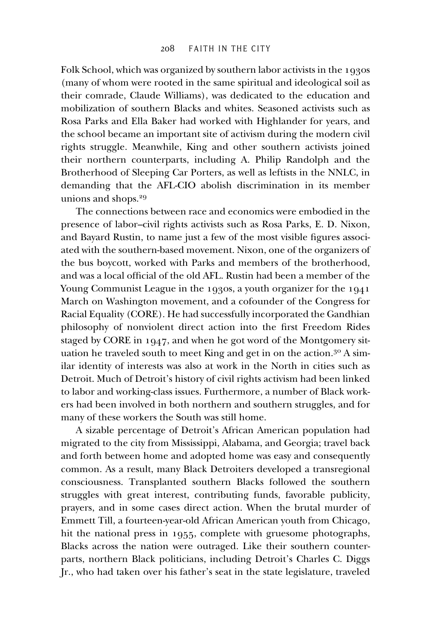Folk School, which was organized by southern labor activists in the 1930s (many of whom were rooted in the same spiritual and ideological soil as their comrade, Claude Williams), was dedicated to the education and mobilization of southern Blacks and whites. Seasoned activists such as Rosa Parks and Ella Baker had worked with Highlander for years, and the school became an important site of activism during the modern civil rights struggle. Meanwhile, King and other southern activists joined their northern counterparts, including A. Philip Randolph and the Brotherhood of Sleeping Car Porters, as well as leftists in the NNLC, in demanding that the AFL-CIO abolish discrimination in its member unions and shops.<sup>29</sup>

The connections between race and economics were embodied in the presence of labor–civil rights activists such as Rosa Parks, E. D. Nixon, and Bayard Rustin, to name just a few of the most visible figures associated with the southern-based movement. Nixon, one of the organizers of the bus boycott, worked with Parks and members of the brotherhood, and was a local official of the old AFL. Rustin had been a member of the Young Communist League in the 1930s, a youth organizer for the 1941 March on Washington movement, and a cofounder of the Congress for Racial Equality (CORE). He had successfully incorporated the Gandhian philosophy of nonviolent direct action into the first Freedom Rides staged by CORE in 1947, and when he got word of the Montgomery situation he traveled south to meet King and get in on the action.<sup>30</sup> A similar identity of interests was also at work in the North in cities such as Detroit. Much of Detroit's history of civil rights activism had been linked to labor and working-class issues. Furthermore, a number of Black workers had been involved in both northern and southern struggles, and for many of these workers the South was still home.

A sizable percentage of Detroit's African American population had migrated to the city from Mississippi, Alabama, and Georgia; travel back and forth between home and adopted home was easy and consequently common. As a result, many Black Detroiters developed a transregional consciousness. Transplanted southern Blacks followed the southern struggles with great interest, contributing funds, favorable publicity, prayers, and in some cases direct action. When the brutal murder of Emmett Till, a fourteen-year-old African American youth from Chicago, hit the national press in 1955, complete with gruesome photographs, Blacks across the nation were outraged. Like their southern counterparts, northern Black politicians, including Detroit's Charles C. Diggs Jr., who had taken over his father's seat in the state legislature, traveled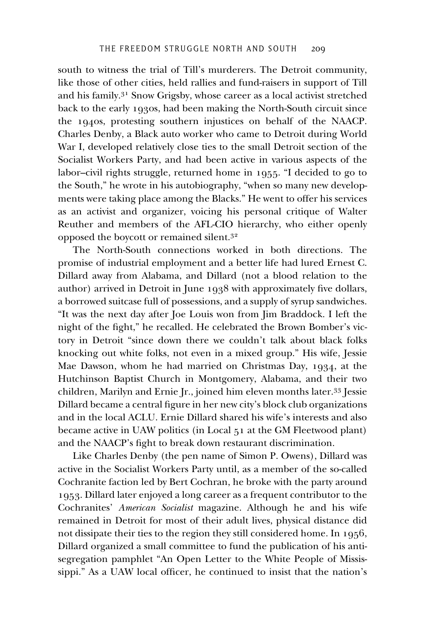south to witness the trial of Till's murderers. The Detroit community, like those of other cities, held rallies and fund-raisers in support of Till and his family.<sup>31</sup> Snow Grigsby, whose career as a local activist stretched back to the early 1930s, had been making the North-South circuit since the 1940s, protesting southern injustices on behalf of the NAACP. Charles Denby, a Black auto worker who came to Detroit during World War I, developed relatively close ties to the small Detroit section of the Socialist Workers Party, and had been active in various aspects of the labor–civil rights struggle, returned home in 1955. "I decided to go to the South," he wrote in his autobiography, "when so many new developments were taking place among the Blacks." He went to offer his services as an activist and organizer, voicing his personal critique of Walter Reuther and members of the AFL-CIO hierarchy, who either openly opposed the boycott or remained silent.<sup>32</sup>

The North-South connections worked in both directions. The promise of industrial employment and a better life had lured Ernest C. Dillard away from Alabama, and Dillard (not a blood relation to the author) arrived in Detroit in June 1938 with approximately five dollars, a borrowed suitcase full of possessions, and a supply of syrup sandwiches. "It was the next day after Joe Louis won from Jim Braddock. I left the night of the fight," he recalled. He celebrated the Brown Bomber's victory in Detroit "since down there we couldn't talk about black folks knocking out white folks, not even in a mixed group." His wife, Jessie Mae Dawson, whom he had married on Christmas Day, 1934, at the Hutchinson Baptist Church in Montgomery, Alabama, and their two children, Marilyn and Ernie Jr., joined him eleven months later.33 Jessie Dillard became a central figure in her new city's block club organizations and in the local ACLU. Ernie Dillard shared his wife's interests and also became active in UAW politics (in Local 51 at the GM Fleetwood plant) and the NAACP's fight to break down restaurant discrimination.

Like Charles Denby (the pen name of Simon P. Owens), Dillard was active in the Socialist Workers Party until, as a member of the so-called Cochranite faction led by Bert Cochran, he broke with the party around 1953. Dillard later enjoyed a long career as a frequent contributor to the Cochranites' *American Socialist* magazine. Although he and his wife remained in Detroit for most of their adult lives, physical distance did not dissipate their ties to the region they still considered home. In 1956, Dillard organized a small committee to fund the publication of his antisegregation pamphlet "An Open Letter to the White People of Mississippi." As a UAW local officer, he continued to insist that the nation's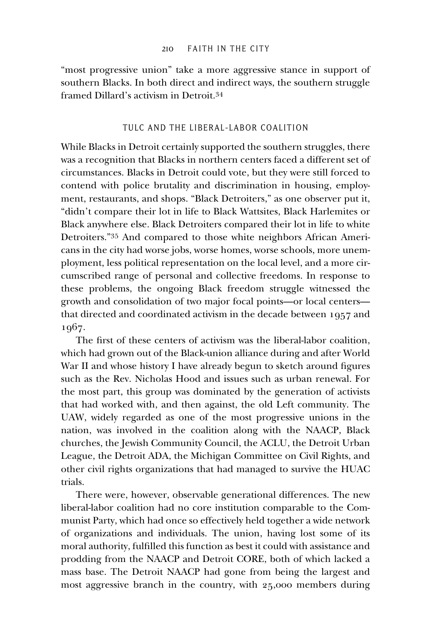"most progressive union" take a more aggressive stance in support of southern Blacks. In both direct and indirect ways, the southern struggle framed Dillard's activism in Detroit.34

#### TULC AND THE LIBERAL-LABOR COALITION

While Blacks in Detroit certainly supported the southern struggles, there was a recognition that Blacks in northern centers faced a different set of circumstances. Blacks in Detroit could vote, but they were still forced to contend with police brutality and discrimination in housing, employment, restaurants, and shops. "Black Detroiters," as one observer put it, "didn't compare their lot in life to Black Wattsites, Black Harlemites or Black anywhere else. Black Detroiters compared their lot in life to white Detroiters."35 And compared to those white neighbors African Americans in the city had worse jobs, worse homes, worse schools, more unemployment, less political representation on the local level, and a more circumscribed range of personal and collective freedoms. In response to these problems, the ongoing Black freedom struggle witnessed the growth and consolidation of two major focal points—or local centers that directed and coordinated activism in the decade between 1957 and 1967.

The first of these centers of activism was the liberal-labor coalition, which had grown out of the Black-union alliance during and after World War II and whose history I have already begun to sketch around figures such as the Rev. Nicholas Hood and issues such as urban renewal. For the most part, this group was dominated by the generation of activists that had worked with, and then against, the old Left community. The UAW, widely regarded as one of the most progressive unions in the nation, was involved in the coalition along with the NAACP, Black churches, the Jewish Community Council, the ACLU, the Detroit Urban League, the Detroit ADA, the Michigan Committee on Civil Rights, and other civil rights organizations that had managed to survive the HUAC trials.

There were, however, observable generational differences. The new liberal-labor coalition had no core institution comparable to the Communist Party, which had once so effectively held together a wide network of organizations and individuals. The union, having lost some of its moral authority, fulfilled this function as best it could with assistance and prodding from the NAACP and Detroit CORE, both of which lacked a mass base. The Detroit NAACP had gone from being the largest and most aggressive branch in the country, with 25,000 members during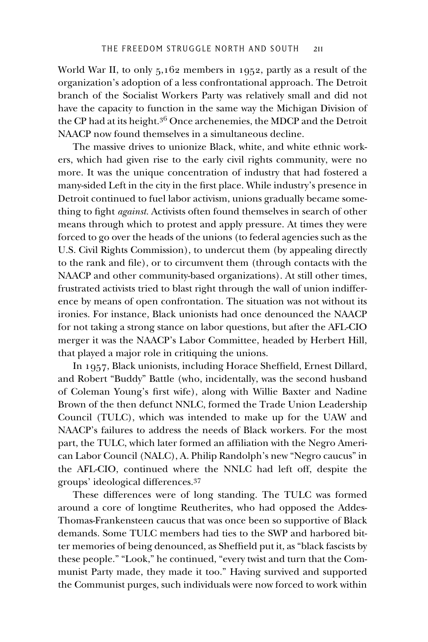World War II, to only 5,162 members in 1952, partly as a result of the organization's adoption of a less confrontational approach. The Detroit branch of the Socialist Workers Party was relatively small and did not have the capacity to function in the same way the Michigan Division of the CP had at its height.<sup>36</sup> Once archenemies, the MDCP and the Detroit NAACP now found themselves in a simultaneous decline.

The massive drives to unionize Black, white, and white ethnic workers, which had given rise to the early civil rights community, were no more. It was the unique concentration of industry that had fostered a many-sided Left in the city in the first place. While industry's presence in Detroit continued to fuel labor activism, unions gradually became something to fight *against*. Activists often found themselves in search of other means through which to protest and apply pressure. At times they were forced to go over the heads of the unions (to federal agencies such as the U.S. Civil Rights Commission), to undercut them (by appealing directly to the rank and file), or to circumvent them (through contacts with the NAACP and other community-based organizations). At still other times, frustrated activists tried to blast right through the wall of union indifference by means of open confrontation. The situation was not without its ironies. For instance, Black unionists had once denounced the NAACP for not taking a strong stance on labor questions, but after the AFL-CIO merger it was the NAACP's Labor Committee, headed by Herbert Hill, that played a major role in critiquing the unions.

In 1957, Black unionists, including Horace Sheffield, Ernest Dillard, and Robert "Buddy" Battle (who, incidentally, was the second husband of Coleman Young's first wife), along with Willie Baxter and Nadine Brown of the then defunct NNLC, formed the Trade Union Leadership Council (TULC), which was intended to make up for the UAW and NAACP's failures to address the needs of Black workers. For the most part, the TULC, which later formed an affiliation with the Negro American Labor Council (NALC), A. Philip Randolph's new "Negro caucus" in the AFL-CIO, continued where the NNLC had left off, despite the groups' ideological differences.<sup>37</sup>

These differences were of long standing. The TULC was formed around a core of longtime Reutherites, who had opposed the Addes-Thomas-Frankensteen caucus that was once been so supportive of Black demands. Some TULC members had ties to the SWP and harbored bitter memories of being denounced, as Sheffield put it, as "black fascists by these people." "Look," he continued, "every twist and turn that the Communist Party made, they made it too." Having survived and supported the Communist purges, such individuals were now forced to work within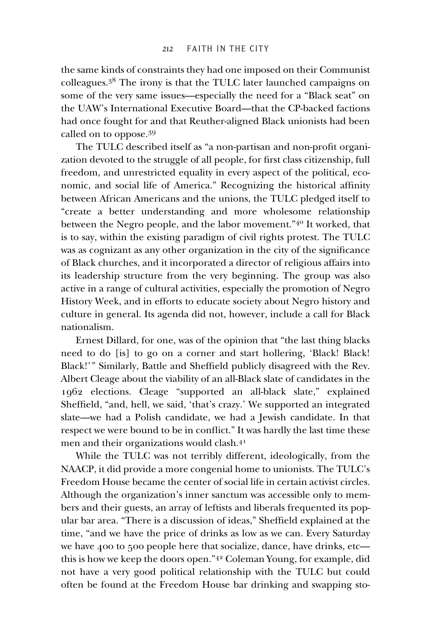the same kinds of constraints they had one imposed on their Communist colleagues.38 The irony is that the TULC later launched campaigns on some of the very same issues—especially the need for a "Black seat" on the UAW's International Executive Board—that the CP-backed factions had once fought for and that Reuther-aligned Black unionists had been called on to oppose.<sup>39</sup>

The TULC described itself as "a non-partisan and non-profit organization devoted to the struggle of all people, for first class citizenship, full freedom, and unrestricted equality in every aspect of the political, economic, and social life of America." Recognizing the historical affinity between African Americans and the unions, the TULC pledged itself to "create a better understanding and more wholesome relationship between the Negro people, and the labor movement."40 It worked, that is to say, within the existing paradigm of civil rights protest. The TULC was as cognizant as any other organization in the city of the significance of Black churches, and it incorporated a director of religious affairs into its leadership structure from the very beginning. The group was also active in a range of cultural activities, especially the promotion of Negro History Week, and in efforts to educate society about Negro history and culture in general. Its agenda did not, however, include a call for Black nationalism.

Ernest Dillard, for one, was of the opinion that "the last thing blacks need to do [is] to go on a corner and start hollering, 'Black! Black! Black!" Similarly, Battle and Sheffield publicly disagreed with the Rev. Albert Cleage about the viability of an all-Black slate of candidates in the 1962 elections. Cleage "supported an all-black slate," explained Sheffield, "and, hell, we said, 'that's crazy.' We supported an integrated slate—we had a Polish candidate, we had a Jewish candidate. In that respect we were bound to be in conflict." It was hardly the last time these men and their organizations would clash.<sup>41</sup>

While the TULC was not terribly different, ideologically, from the NAACP, it did provide a more congenial home to unionists. The TULC's Freedom House became the center of social life in certain activist circles. Although the organization's inner sanctum was accessible only to members and their guests, an array of leftists and liberals frequented its popular bar area. "There is a discussion of ideas," Sheffield explained at the time, "and we have the price of drinks as low as we can. Every Saturday we have 400 to 500 people here that socialize, dance, have drinks, etc this is how we keep the doors open."<sup>42</sup> Coleman Young, for example, did not have a very good political relationship with the TULC but could often be found at the Freedom House bar drinking and swapping sto-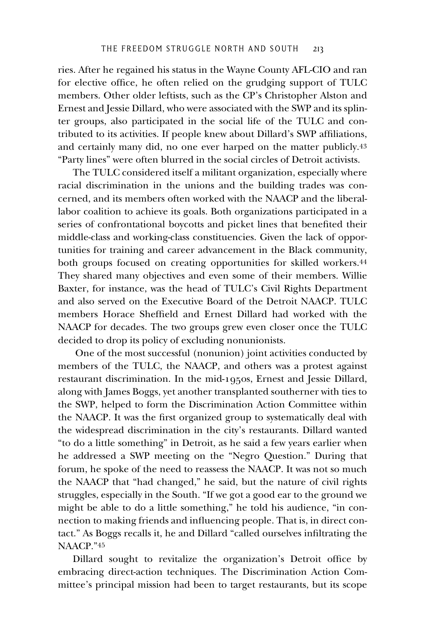ries. After he regained his status in the Wayne County AFL-CIO and ran for elective office, he often relied on the grudging support of TULC members. Other older leftists, such as the CP's Christopher Alston and Ernest and Jessie Dillard, who were associated with the SWP and its splinter groups, also participated in the social life of the TULC and contributed to its activities. If people knew about Dillard's SWP affiliations, and certainly many did, no one ever harped on the matter publicly.43 "Party lines" were often blurred in the social circles of Detroit activists.

The TULC considered itself a militant organization, especially where racial discrimination in the unions and the building trades was concerned, and its members often worked with the NAACP and the liberallabor coalition to achieve its goals. Both organizations participated in a series of confrontational boycotts and picket lines that benefited their middle-class and working-class constituencies. Given the lack of opportunities for training and career advancement in the Black community, both groups focused on creating opportunities for skilled workers.<sup>44</sup> They shared many objectives and even some of their members. Willie Baxter, for instance, was the head of TULC's Civil Rights Department and also served on the Executive Board of the Detroit NAACP. TULC members Horace Sheffield and Ernest Dillard had worked with the NAACP for decades. The two groups grew even closer once the TULC decided to drop its policy of excluding nonunionists.

One of the most successful (nonunion) joint activities conducted by members of the TULC, the NAACP, and others was a protest against restaurant discrimination. In the mid-1950s, Ernest and Jessie Dillard, along with James Boggs, yet another transplanted southerner with ties to the SWP, helped to form the Discrimination Action Committee within the NAACP. It was the first organized group to systematically deal with the widespread discrimination in the city's restaurants. Dillard wanted "to do a little something" in Detroit, as he said a few years earlier when he addressed a SWP meeting on the "Negro Question." During that forum, he spoke of the need to reassess the NAACP. It was not so much the NAACP that "had changed," he said, but the nature of civil rights struggles, especially in the South. "If we got a good ear to the ground we might be able to do a little something," he told his audience, "in connection to making friends and influencing people. That is, in direct contact." As Boggs recalls it, he and Dillard "called ourselves infiltrating the NAACP<sup>"45</sup>

Dillard sought to revitalize the organization's Detroit office by embracing direct-action techniques. The Discrimination Action Committee's principal mission had been to target restaurants, but its scope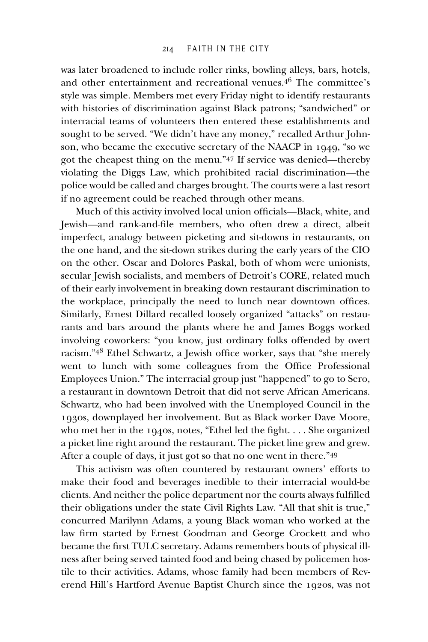was later broadened to include roller rinks, bowling alleys, bars, hotels, and other entertainment and recreational venues. $4<sup>6</sup>$  The committee's style was simple. Members met every Friday night to identify restaurants with histories of discrimination against Black patrons; "sandwiched" or interracial teams of volunteers then entered these establishments and sought to be served. "We didn't have any money," recalled Arthur Johnson, who became the executive secretary of the NAACP in 1949, "so we got the cheapest thing on the menu."<sup>47</sup> If service was denied—thereby violating the Diggs Law, which prohibited racial discrimination—the police would be called and charges brought. The courts were a last resort if no agreement could be reached through other means.

Much of this activity involved local union officials—Black, white, and Jewish—and rank-and-file members, who often drew a direct, albeit imperfect, analogy between picketing and sit-downs in restaurants, on the one hand, and the sit-down strikes during the early years of the CIO on the other. Oscar and Dolores Paskal, both of whom were unionists, secular Jewish socialists, and members of Detroit's CORE, related much of their early involvement in breaking down restaurant discrimination to the workplace, principally the need to lunch near downtown offices. Similarly, Ernest Dillard recalled loosely organized "attacks" on restaurants and bars around the plants where he and James Boggs worked involving coworkers: "you know, just ordinary folks offended by overt racism." $4^8$  Ethel Schwartz, a Jewish office worker, says that "she merely went to lunch with some colleagues from the Office Professional Employees Union." The interracial group just "happened" to go to Sero, a restaurant in downtown Detroit that did not serve African Americans. Schwartz, who had been involved with the Unemployed Council in the 1930s, downplayed her involvement. But as Black worker Dave Moore, who met her in the 1940s, notes, "Ethel led the fight.... She organized a picket line right around the restaurant. The picket line grew and grew. After a couple of days, it just got so that no one went in there."<sup>49</sup>

This activism was often countered by restaurant owners' efforts to make their food and beverages inedible to their interracial would-be clients. And neither the police department nor the courts always fulfilled their obligations under the state Civil Rights Law. "All that shit is true," concurred Marilynn Adams, a young Black woman who worked at the law firm started by Ernest Goodman and George Crockett and who became the first TULC secretary. Adams remembers bouts of physical illness after being served tainted food and being chased by policemen hostile to their activities. Adams, whose family had been members of Reverend Hill's Hartford Avenue Baptist Church since the 1920s, was not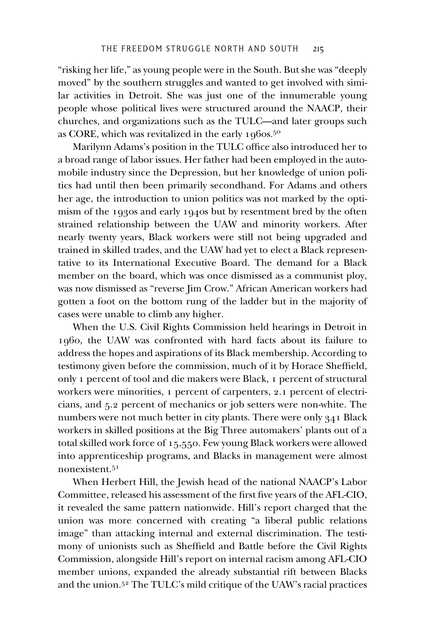"risking her life," as young people were in the South. But she was "deeply moved" by the southern struggles and wanted to get involved with similar activities in Detroit. She was just one of the innumerable young people whose political lives were structured around the NAACP, their churches, and organizations such as the TULC—and later groups such as CORE, which was revitalized in the early 1960s.<sup>50</sup>

Marilynn Adams's position in the TULC office also introduced her to a broad range of labor issues. Her father had been employed in the automobile industry since the Depression, but her knowledge of union politics had until then been primarily secondhand. For Adams and others her age, the introduction to union politics was not marked by the optimism of the 1930s and early 1940s but by resentment bred by the often strained relationship between the UAW and minority workers. After nearly twenty years, Black workers were still not being upgraded and trained in skilled trades, and the UAW had yet to elect a Black representative to its International Executive Board. The demand for a Black member on the board, which was once dismissed as a communist ploy, was now dismissed as "reverse Jim Crow." African American workers had gotten a foot on the bottom rung of the ladder but in the majority of cases were unable to climb any higher.

When the U.S. Civil Rights Commission held hearings in Detroit in 1960, the UAW was confronted with hard facts about its failure to address the hopes and aspirations of its Black membership. According to testimony given before the commission, much of it by Horace Sheffield, only 1 percent of tool and die makers were Black, 1 percent of structural workers were minorities, 1 percent of carpenters, 2.1 percent of electricians, and 5.2 percent of mechanics or job setters were non-white. The numbers were not much better in city plants. There were only 341 Black workers in skilled positions at the Big Three automakers' plants out of a total skilled work force of 15,550. Few young Black workers were allowed into apprenticeship programs, and Blacks in management were almost nonexistent.<sup>51</sup>

When Herbert Hill, the Jewish head of the national NAACP's Labor Committee, released his assessment of the first five years of the AFL-CIO, it revealed the same pattern nationwide. Hill's report charged that the union was more concerned with creating "a liberal public relations image" than attacking internal and external discrimination. The testimony of unionists such as Sheffield and Battle before the Civil Rights Commission, alongside Hill's report on internal racism among AFL-CIO member unions, expanded the already substantial rift between Blacks and the union.<sup>52</sup> The TULC's mild critique of the UAW's racial practices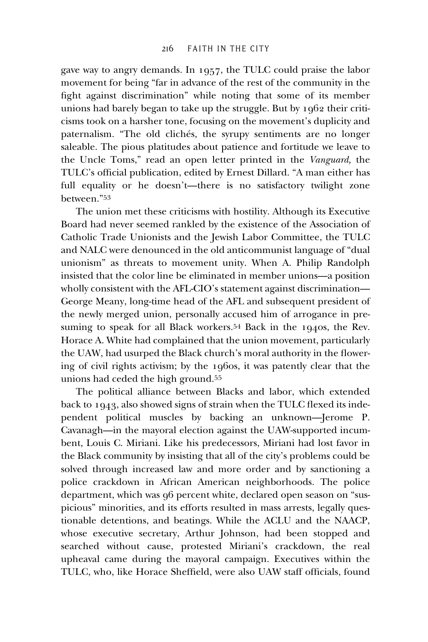gave way to angry demands. In 1957, the TULC could praise the labor movement for being "far in advance of the rest of the community in the fight against discrimination" while noting that some of its member unions had barely began to take up the struggle. But by 1962 their criticisms took on a harsher tone, focusing on the movement's duplicity and paternalism. "The old clichés, the syrupy sentiments are no longer saleable. The pious platitudes about patience and fortitude we leave to the Uncle Toms," read an open letter printed in the *Vanguard,* the TULC's official publication, edited by Ernest Dillard. "A man either has full equality or he doesn't—there is no satisfactory twilight zone between."53

The union met these criticisms with hostility. Although its Executive Board had never seemed rankled by the existence of the Association of Catholic Trade Unionists and the Jewish Labor Committee, the TULC and NALC were denounced in the old anticommunist language of "dual unionism" as threats to movement unity. When A. Philip Randolph insisted that the color line be eliminated in member unions—a position wholly consistent with the AFL-CIO's statement against discrimination— George Meany, long-time head of the AFL and subsequent president of the newly merged union, personally accused him of arrogance in presuming to speak for all Black workers.<sup>54</sup> Back in the 1940s, the Rev. Horace A. White had complained that the union movement, particularly the UAW, had usurped the Black church's moral authority in the flowering of civil rights activism; by the 1960s, it was patently clear that the unions had ceded the high ground.<sup>55</sup>

The political alliance between Blacks and labor, which extended back to  $1943$ , also showed signs of strain when the TULC flexed its independent political muscles by backing an unknown—Jerome P. Cavanagh—in the mayoral election against the UAW-supported incumbent, Louis C. Miriani. Like his predecessors, Miriani had lost favor in the Black community by insisting that all of the city's problems could be solved through increased law and more order and by sanctioning a police crackdown in African American neighborhoods. The police department, which was 96 percent white, declared open season on "suspicious" minorities, and its efforts resulted in mass arrests, legally questionable detentions, and beatings. While the ACLU and the NAACP, whose executive secretary, Arthur Johnson, had been stopped and searched without cause, protested Miriani's crackdown, the real upheaval came during the mayoral campaign. Executives within the TULC, who, like Horace Sheffield, were also UAW staff officials, found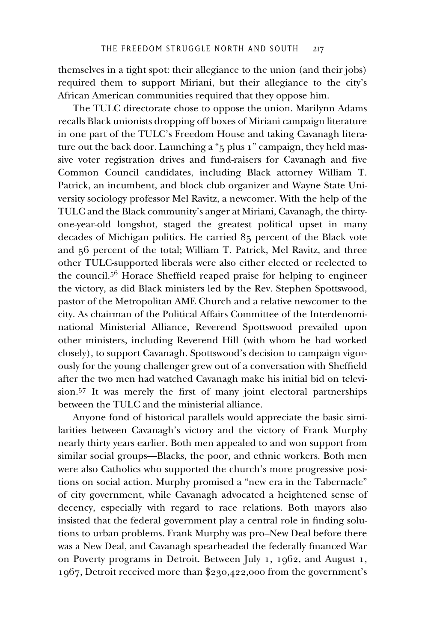themselves in a tight spot: their allegiance to the union (and their jobs) required them to support Miriani, but their allegiance to the city's African American communities required that they oppose him.

The TULC directorate chose to oppose the union. Marilynn Adams recalls Black unionists dropping off boxes of Miriani campaign literature in one part of the TULC's Freedom House and taking Cavanagh literature out the back door. Launching a "5 plus 1" campaign, they held massive voter registration drives and fund-raisers for Cavanagh and five Common Council candidates, including Black attorney William T. Patrick, an incumbent, and block club organizer and Wayne State University sociology professor Mel Ravitz, a newcomer. With the help of the TULC and the Black community's anger at Miriani, Cavanagh, the thirtyone-year-old longshot, staged the greatest political upset in many decades of Michigan politics. He carried 85 percent of the Black vote and 56 percent of the total; William T. Patrick, Mel Ravitz, and three other TULC-supported liberals were also either elected or reelected to the council.<sup>56</sup> Horace Sheffield reaped praise for helping to engineer the victory, as did Black ministers led by the Rev. Stephen Spottswood, pastor of the Metropolitan AME Church and a relative newcomer to the city. As chairman of the Political Affairs Committee of the Interdenominational Ministerial Alliance, Reverend Spottswood prevailed upon other ministers, including Reverend Hill (with whom he had worked closely), to support Cavanagh. Spottswood's decision to campaign vigorously for the young challenger grew out of a conversation with Sheffield after the two men had watched Cavanagh make his initial bid on television.<sup>57</sup> It was merely the first of many joint electoral partnerships between the TULC and the ministerial alliance.

Anyone fond of historical parallels would appreciate the basic similarities between Cavanagh's victory and the victory of Frank Murphy nearly thirty years earlier. Both men appealed to and won support from similar social groups—Blacks, the poor, and ethnic workers. Both men were also Catholics who supported the church's more progressive positions on social action. Murphy promised a "new era in the Tabernacle" of city government, while Cavanagh advocated a heightened sense of decency, especially with regard to race relations. Both mayors also insisted that the federal government play a central role in finding solutions to urban problems. Frank Murphy was pro–New Deal before there was a New Deal, and Cavanagh spearheaded the federally financed War on Poverty programs in Detroit. Between July 1, 1962, and August 1, 1967, Detroit received more than \$230,422,000 from the government's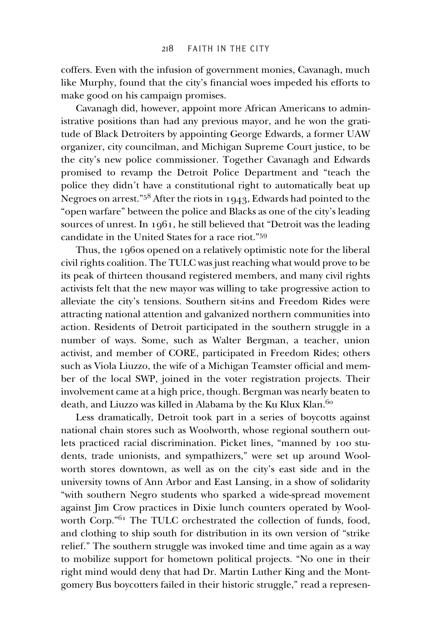coffers. Even with the infusion of government monies, Cavanagh, much like Murphy, found that the city's financial woes impeded his efforts to make good on his campaign promises.

Cavanagh did, however, appoint more African Americans to administrative positions than had any previous mayor, and he won the gratitude of Black Detroiters by appointing George Edwards, a former UAW organizer, city councilman, and Michigan Supreme Court justice, to be the city's new police commissioner. Together Cavanagh and Edwards promised to revamp the Detroit Police Department and "teach the police they didn't have a constitutional right to automatically beat up Negroes on arrest."<sup>58</sup> After the riots in 1943, Edwards had pointed to the "open warfare" between the police and Blacks as one of the city's leading sources of unrest. In 1961, he still believed that "Detroit was the leading candidate in the United States for a race riot."59

Thus, the 1960s opened on a relatively optimistic note for the liberal civil rights coalition. The TULC was just reaching what would prove to be its peak of thirteen thousand registered members, and many civil rights activists felt that the new mayor was willing to take progressive action to alleviate the city's tensions. Southern sit-ins and Freedom Rides were attracting national attention and galvanized northern communities into action. Residents of Detroit participated in the southern struggle in a number of ways. Some, such as Walter Bergman, a teacher, union activist, and member of CORE, participated in Freedom Rides; others such as Viola Liuzzo, the wife of a Michigan Teamster official and member of the local SWP, joined in the voter registration projects. Their involvement came at a high price, though. Bergman was nearly beaten to death, and Liuzzo was killed in Alabama by the Ku Klux Klan.<sup>60</sup>

Less dramatically, Detroit took part in a series of boycotts against national chain stores such as Woolworth, whose regional southern outlets practiced racial discrimination. Picket lines, "manned by 100 students, trade unionists, and sympathizers," were set up around Woolworth stores downtown, as well as on the city's east side and in the university towns of Ann Arbor and East Lansing, in a show of solidarity "with southern Negro students who sparked a wide-spread movement against Jim Crow practices in Dixie lunch counters operated by Woolworth Corp."<sup>61</sup> The TULC orchestrated the collection of funds, food, and clothing to ship south for distribution in its own version of "strike relief." The southern struggle was invoked time and time again as a way to mobilize support for hometown political projects. "No one in their right mind would deny that had Dr. Martin Luther King and the Montgomery Bus boycotters failed in their historic struggle," read a represen-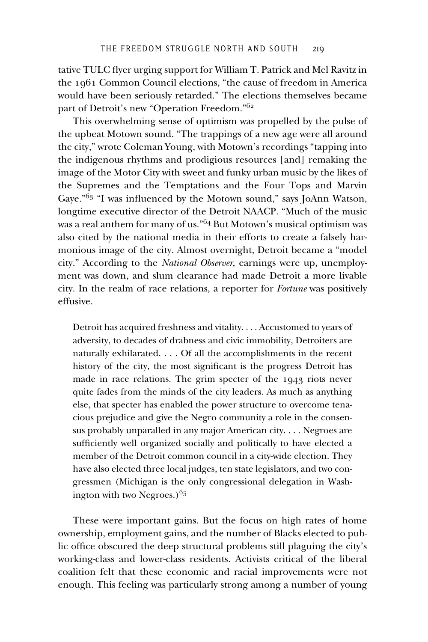tative TULC flyer urging support for William T. Patrick and Mel Ravitz in the 1961 Common Council elections, "the cause of freedom in America would have been seriously retarded." The elections themselves became part of Detroit's new "Operation Freedom."62

This overwhelming sense of optimism was propelled by the pulse of the upbeat Motown sound. "The trappings of a new age were all around the city," wrote Coleman Young, with Motown's recordings "tapping into the indigenous rhythms and prodigious resources [and] remaking the image of the Motor City with sweet and funky urban music by the likes of the Supremes and the Temptations and the Four Tops and Marvin Gaye." $63$  "I was influenced by the Motown sound," says JoAnn Watson, longtime executive director of the Detroit NAACP. "Much of the music was a real anthem for many of us."64 But Motown's musical optimism was also cited by the national media in their efforts to create a falsely harmonious image of the city. Almost overnight, Detroit became a "model city." According to the *National Observer,* earnings were up, unemployment was down, and slum clearance had made Detroit a more livable city. In the realm of race relations, a reporter for *Fortune* was positively effusive.

Detroit has acquired freshness and vitality. . . . Accustomed to years of adversity, to decades of drabness and civic immobility, Detroiters are naturally exhilarated. . . . Of all the accomplishments in the recent history of the city, the most significant is the progress Detroit has made in race relations. The grim specter of the 1943 riots never quite fades from the minds of the city leaders. As much as anything else, that specter has enabled the power structure to overcome tenacious prejudice and give the Negro community a role in the consensus probably unparalled in any major American city. . . . Negroes are sufficiently well organized socially and politically to have elected a member of the Detroit common council in a city-wide election. They have also elected three local judges, ten state legislators, and two congressmen (Michigan is the only congressional delegation in Washington with two Negroes.) $65$ 

These were important gains. But the focus on high rates of home ownership, employment gains, and the number of Blacks elected to public office obscured the deep structural problems still plaguing the city's working-class and lower-class residents. Activists critical of the liberal coalition felt that these economic and racial improvements were not enough. This feeling was particularly strong among a number of young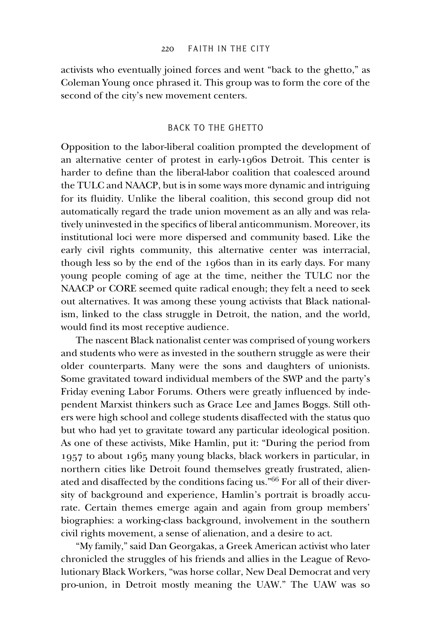#### 220 FAITH IN THE CITY

activists who eventually joined forces and went "back to the ghetto," as Coleman Young once phrased it. This group was to form the core of the second of the city's new movement centers.

### BACK TO THE GHETTO

Opposition to the labor-liberal coalition prompted the development of an alternative center of protest in early-1960s Detroit. This center is harder to define than the liberal-labor coalition that coalesced around the TULC and NAACP, but is in some ways more dynamic and intriguing for its fluidity. Unlike the liberal coalition, this second group did not automatically regard the trade union movement as an ally and was relatively uninvested in the specifics of liberal anticommunism. Moreover, its institutional loci were more dispersed and community based. Like the early civil rights community, this alternative center was interracial, though less so by the end of the 1960s than in its early days. For many young people coming of age at the time, neither the TULC nor the NAACP or CORE seemed quite radical enough; they felt a need to seek out alternatives. It was among these young activists that Black nationalism, linked to the class struggle in Detroit, the nation, and the world, would find its most receptive audience.

The nascent Black nationalist center was comprised of young workers and students who were as invested in the southern struggle as were their older counterparts. Many were the sons and daughters of unionists. Some gravitated toward individual members of the SWP and the party's Friday evening Labor Forums. Others were greatly influenced by independent Marxist thinkers such as Grace Lee and James Boggs. Still others were high school and college students disaffected with the status quo but who had yet to gravitate toward any particular ideological position. As one of these activists, Mike Hamlin, put it: "During the period from 1957 to about 1965 many young blacks, black workers in particular, in northern cities like Detroit found themselves greatly frustrated, alienated and disaffected by the conditions facing us."66 For all of their diversity of background and experience, Hamlin's portrait is broadly accurate. Certain themes emerge again and again from group members' biographies: a working-class background, involvement in the southern civil rights movement, a sense of alienation, and a desire to act.

"My family," said Dan Georgakas, a Greek American activist who later chronicled the struggles of his friends and allies in the League of Revolutionary Black Workers, "was horse collar, New Deal Democrat and very pro-union, in Detroit mostly meaning the UAW." The UAW was so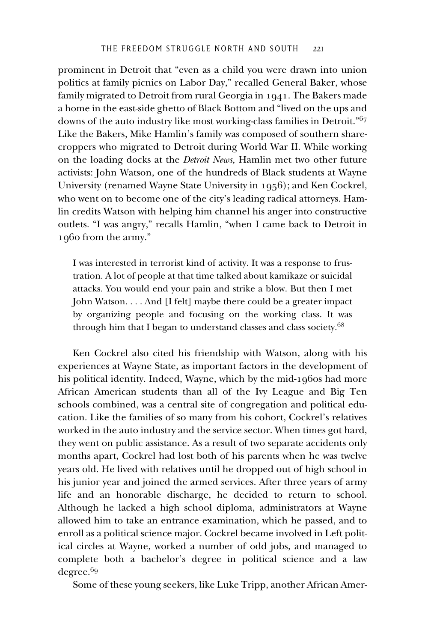prominent in Detroit that "even as a child you were drawn into union politics at family picnics on Labor Day," recalled General Baker, whose family migrated to Detroit from rural Georgia in 1941. The Bakers made a home in the east-side ghetto of Black Bottom and "lived on the ups and downs of the auto industry like most working-class families in Detroit."<sup>67</sup> Like the Bakers, Mike Hamlin's family was composed of southern sharecroppers who migrated to Detroit during World War II. While working on the loading docks at the *Detroit News,* Hamlin met two other future activists: John Watson, one of the hundreds of Black students at Wayne University (renamed Wayne State University in 1956); and Ken Cockrel, who went on to become one of the city's leading radical attorneys. Hamlin credits Watson with helping him channel his anger into constructive outlets. "I was angry," recalls Hamlin, "when I came back to Detroit in 1960 from the army."

I was interested in terrorist kind of activity. It was a response to frustration. A lot of people at that time talked about kamikaze or suicidal attacks. You would end your pain and strike a blow. But then I met John Watson. . . . And [I felt] maybe there could be a greater impact by organizing people and focusing on the working class. It was through him that I began to understand classes and class society.<sup>68</sup>

Ken Cockrel also cited his friendship with Watson, along with his experiences at Wayne State, as important factors in the development of his political identity. Indeed, Wayne, which by the mid-1960s had more African American students than all of the Ivy League and Big Ten schools combined, was a central site of congregation and political education. Like the families of so many from his cohort, Cockrel's relatives worked in the auto industry and the service sector. When times got hard, they went on public assistance. As a result of two separate accidents only months apart, Cockrel had lost both of his parents when he was twelve years old. He lived with relatives until he dropped out of high school in his junior year and joined the armed services. After three years of army life and an honorable discharge, he decided to return to school. Although he lacked a high school diploma, administrators at Wayne allowed him to take an entrance examination, which he passed, and to enroll as a political science major. Cockrel became involved in Left political circles at Wayne, worked a number of odd jobs, and managed to complete both a bachelor's degree in political science and a law degree.<sup>69</sup>

Some of these young seekers, like Luke Tripp, another African Amer-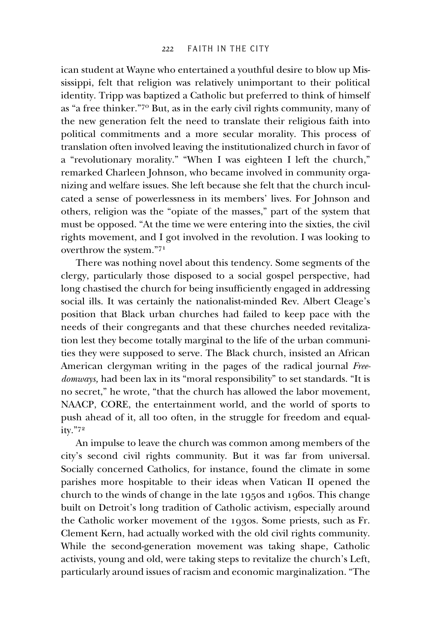ican student at Wayne who entertained a youthful desire to blow up Mississippi, felt that religion was relatively unimportant to their political identity. Tripp was baptized a Catholic but preferred to think of himself as "a free thinker."70 But, as in the early civil rights community, many of the new generation felt the need to translate their religious faith into political commitments and a more secular morality. This process of translation often involved leaving the institutionalized church in favor of a "revolutionary morality." "When I was eighteen I left the church," remarked Charleen Johnson, who became involved in community organizing and welfare issues. She left because she felt that the church inculcated a sense of powerlessness in its members' lives. For Johnson and others, religion was the "opiate of the masses," part of the system that must be opposed. "At the time we were entering into the sixties, the civil rights movement, and I got involved in the revolution. I was looking to overthrow the system."71

There was nothing novel about this tendency. Some segments of the clergy, particularly those disposed to a social gospel perspective, had long chastised the church for being insufficiently engaged in addressing social ills. It was certainly the nationalist-minded Rev. Albert Cleage's position that Black urban churches had failed to keep pace with the needs of their congregants and that these churches needed revitalization lest they become totally marginal to the life of the urban communities they were supposed to serve. The Black church, insisted an African American clergyman writing in the pages of the radical journal *Freedomways,* had been lax in its "moral responsibility" to set standards. "It is no secret," he wrote, "that the church has allowed the labor movement, NAACP, CORE, the entertainment world, and the world of sports to push ahead of it, all too often, in the struggle for freedom and equality."72

An impulse to leave the church was common among members of the city's second civil rights community. But it was far from universal. Socially concerned Catholics, for instance, found the climate in some parishes more hospitable to their ideas when Vatican II opened the church to the winds of change in the late 1950s and 1960s. This change built on Detroit's long tradition of Catholic activism, especially around the Catholic worker movement of the 1930s. Some priests, such as Fr. Clement Kern, had actually worked with the old civil rights community. While the second-generation movement was taking shape, Catholic activists, young and old, were taking steps to revitalize the church's Left, particularly around issues of racism and economic marginalization. "The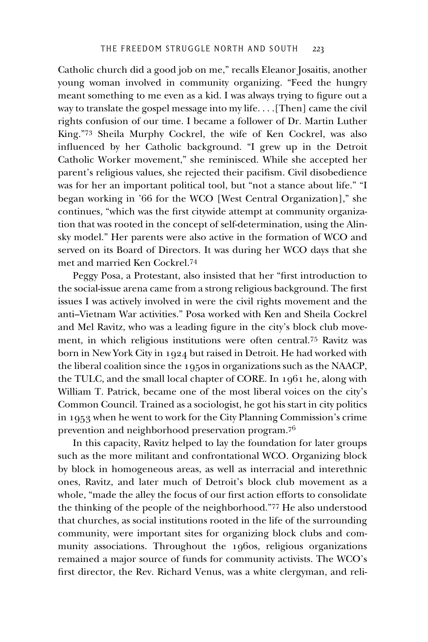Catholic church did a good job on me," recalls Eleanor Josaitis, another young woman involved in community organizing. "Feed the hungry meant something to me even as a kid. I was always trying to figure out a way to translate the gospel message into my life. . . .[Then] came the civil rights confusion of our time. I became a follower of Dr. Martin Luther King."73 Sheila Murphy Cockrel, the wife of Ken Cockrel, was also influenced by her Catholic background. "I grew up in the Detroit Catholic Worker movement," she reminisced. While she accepted her parent's religious values, she rejected their pacifism. Civil disobedience was for her an important political tool, but "not a stance about life." "I began working in '66 for the WCO [West Central Organization]," she continues, "which was the first citywide attempt at community organization that was rooted in the concept of self-determination, using the Alinsky model." Her parents were also active in the formation of WCO and served on its Board of Directors. It was during her WCO days that she met and married Ken Cockrel.74

Peggy Posa, a Protestant, also insisted that her "first introduction to the social-issue arena came from a strong religious background. The first issues I was actively involved in were the civil rights movement and the anti–Vietnam War activities." Posa worked with Ken and Sheila Cockrel and Mel Ravitz, who was a leading figure in the city's block club movement, in which religious institutions were often central.<sup>75</sup> Ravitz was born in New York City in 1924 but raised in Detroit. He had worked with the liberal coalition since the 1950s in organizations such as the NAACP, the TULC, and the small local chapter of CORE. In 1961 he, along with William T. Patrick, became one of the most liberal voices on the city's Common Council. Trained as a sociologist, he got his start in city politics in 1953 when he went to work for the City Planning Commission's crime prevention and neighborhood preservation program.76

In this capacity, Ravitz helped to lay the foundation for later groups such as the more militant and confrontational WCO. Organizing block by block in homogeneous areas, as well as interracial and interethnic ones, Ravitz, and later much of Detroit's block club movement as a whole, "made the alley the focus of our first action efforts to consolidate the thinking of the people of the neighborhood."<sup>77</sup> He also understood that churches, as social institutions rooted in the life of the surrounding community, were important sites for organizing block clubs and community associations. Throughout the 1960s, religious organizations remained a major source of funds for community activists. The WCO's first director, the Rev. Richard Venus, was a white clergyman, and reli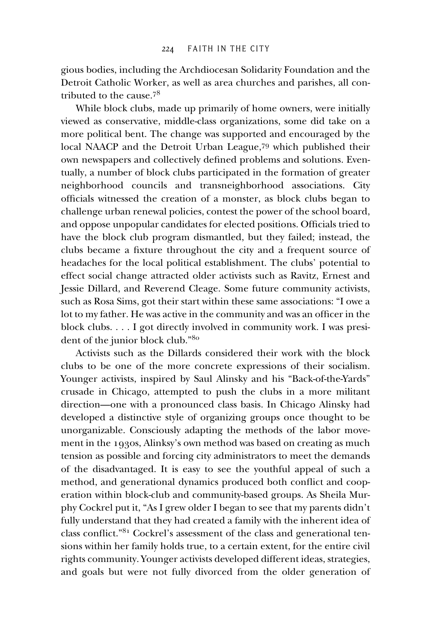gious bodies, including the Archdiocesan Solidarity Foundation and the Detroit Catholic Worker, as well as area churches and parishes, all contributed to the cause.<sup>78</sup>

While block clubs, made up primarily of home owners, were initially viewed as conservative, middle-class organizations, some did take on a more political bent. The change was supported and encouraged by the local NAACP and the Detroit Urban League,79 which published their own newspapers and collectively defined problems and solutions. Eventually, a number of block clubs participated in the formation of greater neighborhood councils and transneighborhood associations. City officials witnessed the creation of a monster, as block clubs began to challenge urban renewal policies, contest the power of the school board, and oppose unpopular candidates for elected positions. Officials tried to have the block club program dismantled, but they failed; instead, the clubs became a fixture throughout the city and a frequent source of headaches for the local political establishment. The clubs' potential to effect social change attracted older activists such as Ravitz, Ernest and Jessie Dillard, and Reverend Cleage. Some future community activists, such as Rosa Sims, got their start within these same associations: "I owe a lot to my father. He was active in the community and was an officer in the block clubs. . . . I got directly involved in community work. I was president of the junior block club."<sup>80</sup>

Activists such as the Dillards considered their work with the block clubs to be one of the more concrete expressions of their socialism. Younger activists, inspired by Saul Alinsky and his "Back-of-the-Yards" crusade in Chicago, attempted to push the clubs in a more militant direction—one with a pronounced class basis. In Chicago Alinsky had developed a distinctive style of organizing groups once thought to be unorganizable. Consciously adapting the methods of the labor movement in the 1930s, Alinksy's own method was based on creating as much tension as possible and forcing city administrators to meet the demands of the disadvantaged. It is easy to see the youthful appeal of such a method, and generational dynamics produced both conflict and cooperation within block-club and community-based groups. As Sheila Murphy Cockrel put it, "As I grew older I began to see that my parents didn't fully understand that they had created a family with the inherent idea of class conflict." $81$  Cockrel's assessment of the class and generational tensions within her family holds true, to a certain extent, for the entire civil rights community. Younger activists developed different ideas, strategies, and goals but were not fully divorced from the older generation of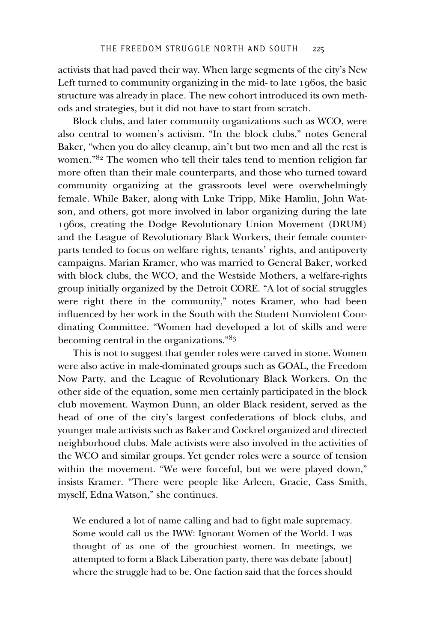activists that had paved their way. When large segments of the city's New Left turned to community organizing in the mid- to late 1960s, the basic structure was already in place. The new cohort introduced its own methods and strategies, but it did not have to start from scratch.

Block clubs, and later community organizations such as WCO, were also central to women's activism. "In the block clubs," notes General Baker, "when you do alley cleanup, ain't but two men and all the rest is women."<sup>82</sup> The women who tell their tales tend to mention religion far more often than their male counterparts, and those who turned toward community organizing at the grassroots level were overwhelmingly female. While Baker, along with Luke Tripp, Mike Hamlin, John Watson, and others, got more involved in labor organizing during the late 1960s, creating the Dodge Revolutionary Union Movement (DRUM) and the League of Revolutionary Black Workers, their female counterparts tended to focus on welfare rights, tenants' rights, and antipoverty campaigns. Marian Kramer, who was married to General Baker, worked with block clubs, the WCO, and the Westside Mothers, a welfare-rights group initially organized by the Detroit CORE. "A lot of social struggles were right there in the community," notes Kramer, who had been influenced by her work in the South with the Student Nonviolent Coordinating Committee. "Women had developed a lot of skills and were becoming central in the organizations."83

This is not to suggest that gender roles were carved in stone. Women were also active in male-dominated groups such as GOAL, the Freedom Now Party, and the League of Revolutionary Black Workers. On the other side of the equation, some men certainly participated in the block club movement. Waymon Dunn, an older Black resident, served as the head of one of the city's largest confederations of block clubs, and younger male activists such as Baker and Cockrel organized and directed neighborhood clubs. Male activists were also involved in the activities of the WCO and similar groups. Yet gender roles were a source of tension within the movement. "We were forceful, but we were played down," insists Kramer. "There were people like Arleen, Gracie, Cass Smith, myself, Edna Watson," she continues.

We endured a lot of name calling and had to fight male supremacy. Some would call us the IWW: Ignorant Women of the World. I was thought of as one of the grouchiest women. In meetings, we attempted to form a Black Liberation party, there was debate [about] where the struggle had to be. One faction said that the forces should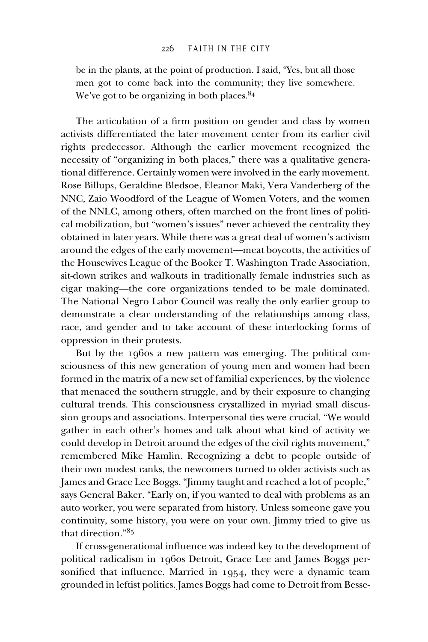be in the plants, at the point of production. I said, "Yes, but all those men got to come back into the community; they live somewhere. We've got to be organizing in both places.<sup>84</sup>

The articulation of a firm position on gender and class by women activists differentiated the later movement center from its earlier civil rights predecessor. Although the earlier movement recognized the necessity of "organizing in both places," there was a qualitative generational difference. Certainly women were involved in the early movement. Rose Billups, Geraldine Bledsoe, Eleanor Maki, Vera Vanderberg of the NNC, Zaio Woodford of the League of Women Voters, and the women of the NNLC, among others, often marched on the front lines of political mobilization, but "women's issues" never achieved the centrality they obtained in later years. While there was a great deal of women's activism around the edges of the early movement—meat boycotts, the activities of the Housewives League of the Booker T. Washington Trade Association, sit-down strikes and walkouts in traditionally female industries such as cigar making—the core organizations tended to be male dominated. The National Negro Labor Council was really the only earlier group to demonstrate a clear understanding of the relationships among class, race, and gender and to take account of these interlocking forms of oppression in their protests.

But by the 1960s a new pattern was emerging. The political consciousness of this new generation of young men and women had been formed in the matrix of a new set of familial experiences, by the violence that menaced the southern struggle, and by their exposure to changing cultural trends. This consciousness crystallized in myriad small discussion groups and associations. Interpersonal ties were crucial. "We would gather in each other's homes and talk about what kind of activity we could develop in Detroit around the edges of the civil rights movement," remembered Mike Hamlin. Recognizing a debt to people outside of their own modest ranks, the newcomers turned to older activists such as James and Grace Lee Boggs. "Jimmy taught and reached a lot of people," says General Baker. "Early on, if you wanted to deal with problems as an auto worker, you were separated from history. Unless someone gave you continuity, some history, you were on your own. Jimmy tried to give us that direction."<sup>85</sup>

If cross-generational influence was indeed key to the development of political radicalism in 1960s Detroit, Grace Lee and James Boggs personified that influence. Married in 1954, they were a dynamic team grounded in leftist politics. James Boggs had come to Detroit from Besse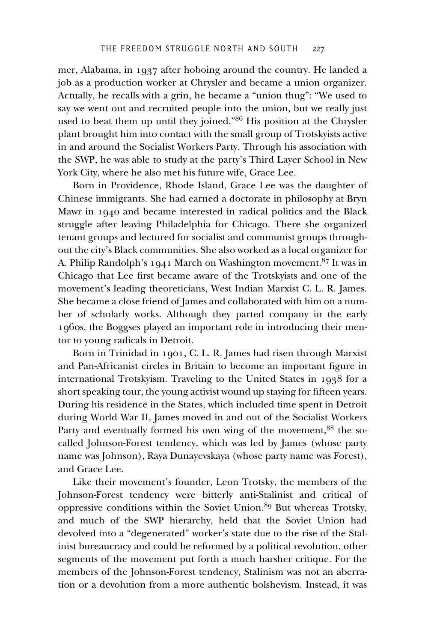mer, Alabama, in 1937 after hoboing around the country. He landed a job as a production worker at Chrysler and became a union organizer. Actually, he recalls with a grin, he became a "union thug": "We used to say we went out and recruited people into the union, but we really just used to beat them up until they joined."<sup>86</sup> His position at the Chrysler plant brought him into contact with the small group of Trotskyists active in and around the Socialist Workers Party. Through his association with the SWP, he was able to study at the party's Third Layer School in New York City, where he also met his future wife, Grace Lee.

Born in Providence, Rhode Island, Grace Lee was the daughter of Chinese immigrants. She had earned a doctorate in philosophy at Bryn Mawr in 1940 and became interested in radical politics and the Black struggle after leaving Philadelphia for Chicago. There she organized tenant groups and lectured for socialist and communist groups throughout the city's Black communities. She also worked as a local organizer for A. Philip Randolph's 1941 March on Washington movement.<sup>87</sup> It was in Chicago that Lee first became aware of the Trotskyists and one of the movement's leading theoreticians, West Indian Marxist C. L. R. James. She became a close friend of James and collaborated with him on a number of scholarly works. Although they parted company in the early 1960s, the Boggses played an important role in introducing their mentor to young radicals in Detroit.

Born in Trinidad in 1901, C. L. R. James had risen through Marxist and Pan-Africanist circles in Britain to become an important figure in international Trotskyism. Traveling to the United States in 1938 for a short speaking tour, the young activist wound up staying for fifteen years. During his residence in the States, which included time spent in Detroit during World War II, James moved in and out of the Socialist Workers Party and eventually formed his own wing of the movement,<sup>88</sup> the socalled Johnson-Forest tendency, which was led by James (whose party name was Johnson), Raya Dunayevskaya (whose party name was Forest), and Grace Lee.

Like their movement's founder, Leon Trotsky, the members of the Johnson-Forest tendency were bitterly anti-Stalinist and critical of oppressive conditions within the Soviet Union. $89$  But whereas Trotsky, and much of the SWP hierarchy, held that the Soviet Union had devolved into a "degenerated" worker's state due to the rise of the Stalinist bureaucracy and could be reformed by a political revolution, other segments of the movement put forth a much harsher critique. For the members of the Johnson-Forest tendency, Stalinism was not an aberration or a devolution from a more authentic bolshevism. Instead, it was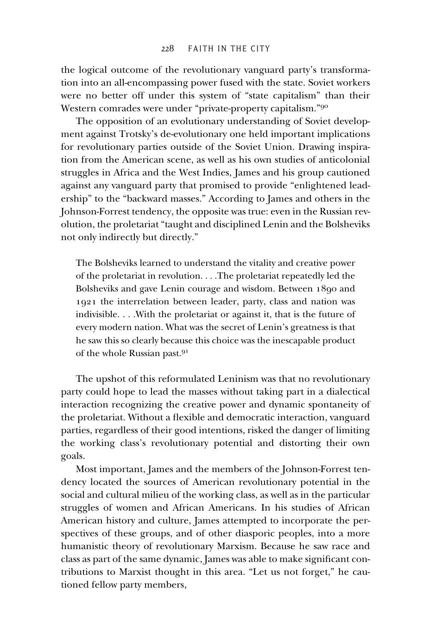the logical outcome of the revolutionary vanguard party's transformation into an all-encompassing power fused with the state. Soviet workers were no better off under this system of "state capitalism" than their Western comrades were under "private-property capitalism."90

The opposition of an evolutionary understanding of Soviet development against Trotsky's de-evolutionary one held important implications for revolutionary parties outside of the Soviet Union. Drawing inspiration from the American scene, as well as his own studies of anticolonial struggles in Africa and the West Indies, James and his group cautioned against any vanguard party that promised to provide "enlightened leadership" to the "backward masses." According to James and others in the Johnson-Forrest tendency, the opposite was true: even in the Russian revolution, the proletariat "taught and disciplined Lenin and the Bolsheviks not only indirectly but directly."

The Bolsheviks learned to understand the vitality and creative power of the proletariat in revolution. . . .The proletariat repeatedly led the Bolsheviks and gave Lenin courage and wisdom. Between 1890 and 1921 the interrelation between leader, party, class and nation was indivisible. . . .With the proletariat or against it, that is the future of every modern nation. What was the secret of Lenin's greatness is that he saw this so clearly because this choice was the inescapable product of the whole Russian past.<sup>91</sup>

The upshot of this reformulated Leninism was that no revolutionary party could hope to lead the masses without taking part in a dialectical interaction recognizing the creative power and dynamic spontaneity of the proletariat. Without a flexible and democratic interaction, vanguard parties, regardless of their good intentions, risked the danger of limiting the working class's revolutionary potential and distorting their own goals.

Most important, James and the members of the Johnson-Forrest tendency located the sources of American revolutionary potential in the social and cultural milieu of the working class, as well as in the particular struggles of women and African Americans. In his studies of African American history and culture, James attempted to incorporate the perspectives of these groups, and of other diasporic peoples, into a more humanistic theory of revolutionary Marxism. Because he saw race and class as part of the same dynamic, James was able to make significant contributions to Marxist thought in this area. "Let us not forget," he cautioned fellow party members,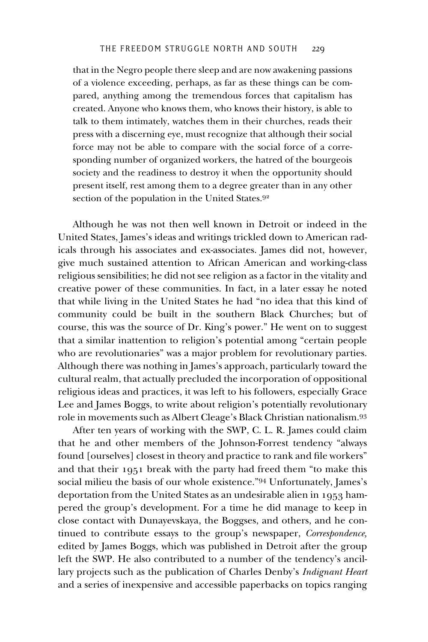that in the Negro people there sleep and are now awakening passions of a violence exceeding, perhaps, as far as these things can be compared, anything among the tremendous forces that capitalism has created. Anyone who knows them, who knows their history, is able to talk to them intimately, watches them in their churches, reads their press with a discerning eye, must recognize that although their social force may not be able to compare with the social force of a corresponding number of organized workers, the hatred of the bourgeois society and the readiness to destroy it when the opportunity should present itself, rest among them to a degree greater than in any other section of the population in the United States.<sup>92</sup>

Although he was not then well known in Detroit or indeed in the United States, James's ideas and writings trickled down to American radicals through his associates and ex-associates. James did not, however, give much sustained attention to African American and working-class religious sensibilities; he did not see religion as a factor in the vitality and creative power of these communities. In fact, in a later essay he noted that while living in the United States he had "no idea that this kind of community could be built in the southern Black Churches; but of course, this was the source of Dr. King's power." He went on to suggest that a similar inattention to religion's potential among "certain people who are revolutionaries" was a major problem for revolutionary parties. Although there was nothing in James's approach, particularly toward the cultural realm, that actually precluded the incorporation of oppositional religious ideas and practices, it was left to his followers, especially Grace Lee and James Boggs, to write about religion's potentially revolutionary role in movements such as Albert Cleage's Black Christian nationalism.93

After ten years of working with the SWP, C. L. R. James could claim that he and other members of the Johnson-Forrest tendency "always found [ourselves] closest in theory and practice to rank and file workers" and that their 1951 break with the party had freed them "to make this social milieu the basis of our whole existence."<sup>94</sup> Unfortunately, James's deportation from the United States as an undesirable alien in 1953 hampered the group's development. For a time he did manage to keep in close contact with Dunayevskaya, the Boggses, and others, and he continued to contribute essays to the group's newspaper, *Correspondence,* edited by James Boggs, which was published in Detroit after the group left the SWP. He also contributed to a number of the tendency's ancillary projects such as the publication of Charles Denby's *Indignant Heart* and a series of inexpensive and accessible paperbacks on topics ranging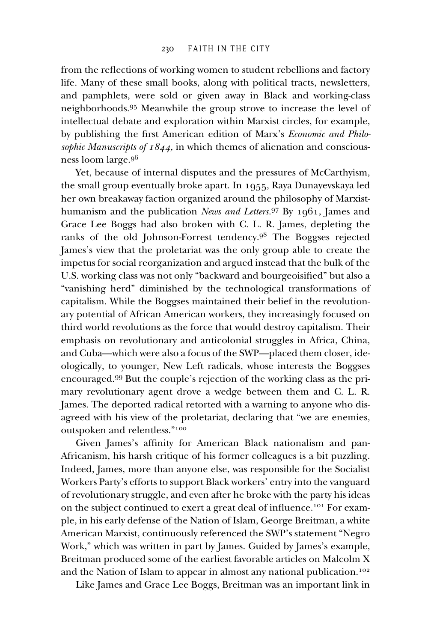from the reflections of working women to student rebellions and factory life. Many of these small books, along with political tracts, newsletters, and pamphlets, were sold or given away in Black and working-class neighborhoods.<sup>95</sup> Meanwhile the group strove to increase the level of intellectual debate and exploration within Marxist circles, for example, by publishing the first American edition of Marx's *Economic and Philosophic Manuscripts of 1844,* in which themes of alienation and consciousness loom large.<sup>96</sup>

Yet, because of internal disputes and the pressures of McCarthyism, the small group eventually broke apart. In 1955, Raya Dunayevskaya led her own breakaway faction organized around the philosophy of Marxisthumanism and the publication *News and Letters.*<sup>97</sup> By 1961, James and Grace Lee Boggs had also broken with C. L. R. James, depleting the ranks of the old Johnson-Forrest tendency.98 The Boggses rejected James's view that the proletariat was the only group able to create the impetus for social reorganization and argued instead that the bulk of the U.S. working class was not only "backward and bourgeoisified" but also a "vanishing herd" diminished by the technological transformations of capitalism. While the Boggses maintained their belief in the revolutionary potential of African American workers, they increasingly focused on third world revolutions as the force that would destroy capitalism. Their emphasis on revolutionary and anticolonial struggles in Africa, China, and Cuba—which were also a focus of the SWP—placed them closer, ideologically, to younger, New Left radicals, whose interests the Boggses encouraged.99 But the couple's rejection of the working class as the primary revolutionary agent drove a wedge between them and C. L. R. James. The deported radical retorted with a warning to anyone who disagreed with his view of the proletariat, declaring that "we are enemies, outspoken and relentless."100

Given James's affinity for American Black nationalism and pan-Africanism, his harsh critique of his former colleagues is a bit puzzling. Indeed, James, more than anyone else, was responsible for the Socialist Workers Party's efforts to support Black workers' entry into the vanguard of revolutionary struggle, and even after he broke with the party his ideas on the subject continued to exert a great deal of influence.<sup>101</sup> For example, in his early defense of the Nation of Islam, George Breitman, a white American Marxist, continuously referenced the SWP's statement "Negro Work," which was written in part by James. Guided by James's example, Breitman produced some of the earliest favorable articles on Malcolm X and the Nation of Islam to appear in almost any national publication.<sup>102</sup>

Like James and Grace Lee Boggs, Breitman was an important link in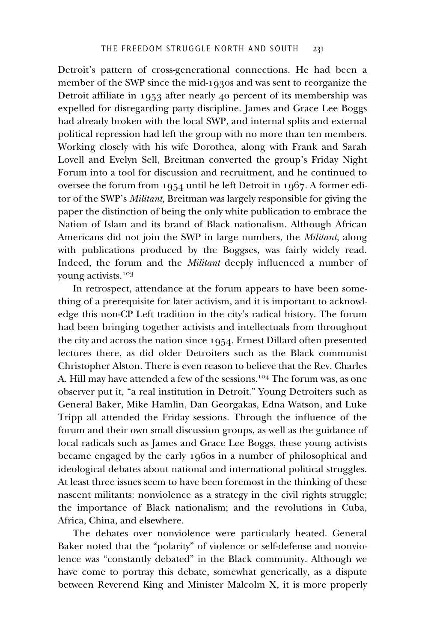Detroit's pattern of cross-generational connections. He had been a member of the SWP since the mid-1930s and was sent to reorganize the Detroit affiliate in 1953 after nearly 40 percent of its membership was expelled for disregarding party discipline. James and Grace Lee Boggs had already broken with the local SWP, and internal splits and external political repression had left the group with no more than ten members. Working closely with his wife Dorothea, along with Frank and Sarah Lovell and Evelyn Sell, Breitman converted the group's Friday Night Forum into a tool for discussion and recruitment, and he continued to oversee the forum from 1954 until he left Detroit in 1967. A former editor of the SWP's *Militant,* Breitman was largely responsible for giving the paper the distinction of being the only white publication to embrace the Nation of Islam and its brand of Black nationalism. Although African Americans did not join the SWP in large numbers, the *Militant,* along with publications produced by the Boggses, was fairly widely read. Indeed, the forum and the *Militant* deeply influenced a number of young activists.<sup>103</sup>

In retrospect, attendance at the forum appears to have been something of a prerequisite for later activism, and it is important to acknowledge this non-CP Left tradition in the city's radical history. The forum had been bringing together activists and intellectuals from throughout the city and across the nation since 1954. Ernest Dillard often presented lectures there, as did older Detroiters such as the Black communist Christopher Alston. There is even reason to believe that the Rev. Charles A. Hill may have attended a few of the sessions.<sup>104</sup> The forum was, as one observer put it, "a real institution in Detroit." Young Detroiters such as General Baker, Mike Hamlin, Dan Georgakas, Edna Watson, and Luke Tripp all attended the Friday sessions. Through the influence of the forum and their own small discussion groups, as well as the guidance of local radicals such as James and Grace Lee Boggs, these young activists became engaged by the early 1960s in a number of philosophical and ideological debates about national and international political struggles. At least three issues seem to have been foremost in the thinking of these nascent militants: nonviolence as a strategy in the civil rights struggle; the importance of Black nationalism; and the revolutions in Cuba, Africa, China, and elsewhere.

The debates over nonviolence were particularly heated. General Baker noted that the "polarity" of violence or self-defense and nonviolence was "constantly debated" in the Black community. Although we have come to portray this debate, somewhat generically, as a dispute between Reverend King and Minister Malcolm X, it is more properly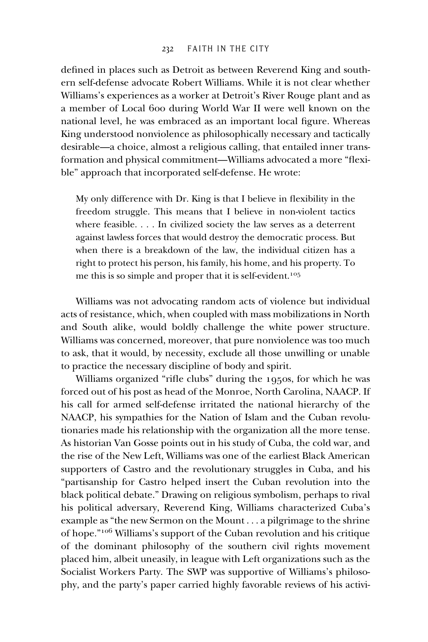defined in places such as Detroit as between Reverend King and southern self-defense advocate Robert Williams. While it is not clear whether Williams's experiences as a worker at Detroit's River Rouge plant and as a member of Local 600 during World War II were well known on the national level, he was embraced as an important local figure. Whereas King understood nonviolence as philosophically necessary and tactically desirable—a choice, almost a religious calling, that entailed inner transformation and physical commitment-Williams advocated a more "flexible" approach that incorporated self-defense. He wrote:

My only difference with Dr. King is that I believe in flexibility in the freedom struggle. This means that I believe in non-violent tactics where feasible. . . . In civilized society the law serves as a deterrent against lawless forces that would destroy the democratic process. But when there is a breakdown of the law, the individual citizen has a right to protect his person, his family, his home, and his property. To me this is so simple and proper that it is self-evident.<sup>105</sup>

Williams was not advocating random acts of violence but individual acts of resistance, which, when coupled with mass mobilizations in North and South alike, would boldly challenge the white power structure. Williams was concerned, moreover, that pure nonviolence was too much to ask, that it would, by necessity, exclude all those unwilling or unable to practice the necessary discipline of body and spirit.

Williams organized "rifle clubs" during the 1950s, for which he was forced out of his post as head of the Monroe, North Carolina, NAACP. If his call for armed self-defense irritated the national hierarchy of the NAACP, his sympathies for the Nation of Islam and the Cuban revolutionaries made his relationship with the organization all the more tense. As historian Van Gosse points out in his study of Cuba, the cold war, and the rise of the New Left, Williams was one of the earliest Black American supporters of Castro and the revolutionary struggles in Cuba, and his "partisanship for Castro helped insert the Cuban revolution into the black political debate." Drawing on religious symbolism, perhaps to rival his political adversary, Reverend King, Williams characterized Cuba's example as "the new Sermon on the Mount . . . a pilgrimage to the shrine of hope."<sup>106</sup> Williams's support of the Cuban revolution and his critique of the dominant philosophy of the southern civil rights movement placed him, albeit uneasily, in league with Left organizations such as the Socialist Workers Party. The SWP was supportive of Williams's philosophy, and the party's paper carried highly favorable reviews of his activi-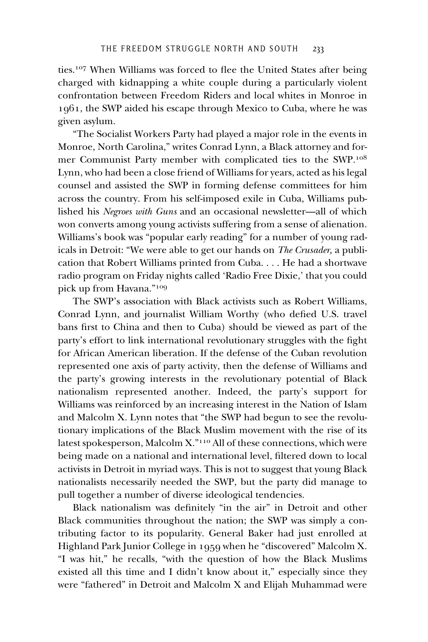ties.<sup>107</sup> When Williams was forced to flee the United States after being charged with kidnapping a white couple during a particularly violent confrontation between Freedom Riders and local whites in Monroe in 1961, the SWP aided his escape through Mexico to Cuba, where he was given asylum.

"The Socialist Workers Party had played a major role in the events in Monroe, North Carolina," writes Conrad Lynn, a Black attorney and former Communist Party member with complicated ties to the SWP.108 Lynn, who had been a close friend of Williams for years, acted as his legal counsel and assisted the SWP in forming defense committees for him across the country. From his self-imposed exile in Cuba, Williams published his *Negroes with Guns* and an occasional newsletter—all of which won converts among young activists suffering from a sense of alienation. Williams's book was "popular early reading" for a number of young radicals in Detroit: "We were able to get our hands on *The Crusader,* a publication that Robert Williams printed from Cuba. . . . He had a shortwave radio program on Friday nights called 'Radio Free Dixie,' that you could pick up from Havana."<sup>109</sup>

The SWP's association with Black activists such as Robert Williams, Conrad Lynn, and journalist William Worthy (who defied U.S. travel bans first to China and then to Cuba) should be viewed as part of the party's effort to link international revolutionary struggles with the fight for African American liberation. If the defense of the Cuban revolution represented one axis of party activity, then the defense of Williams and the party's growing interests in the revolutionary potential of Black nationalism represented another. Indeed, the party's support for Williams was reinforced by an increasing interest in the Nation of Islam and Malcolm X. Lynn notes that "the SWP had begun to see the revolutionary implications of the Black Muslim movement with the rise of its latest spokesperson, Malcolm X."110 All of these connections, which were being made on a national and international level, filtered down to local activists in Detroit in myriad ways. This is not to suggest that young Black nationalists necessarily needed the SWP, but the party did manage to pull together a number of diverse ideological tendencies.

Black nationalism was definitely "in the air" in Detroit and other Black communities throughout the nation; the SWP was simply a contributing factor to its popularity. General Baker had just enrolled at Highland Park Junior College in 1959 when he "discovered" Malcolm X. "I was hit," he recalls, "with the question of how the Black Muslims existed all this time and I didn't know about it," especially since they were "fathered" in Detroit and Malcolm X and Elijah Muhammad were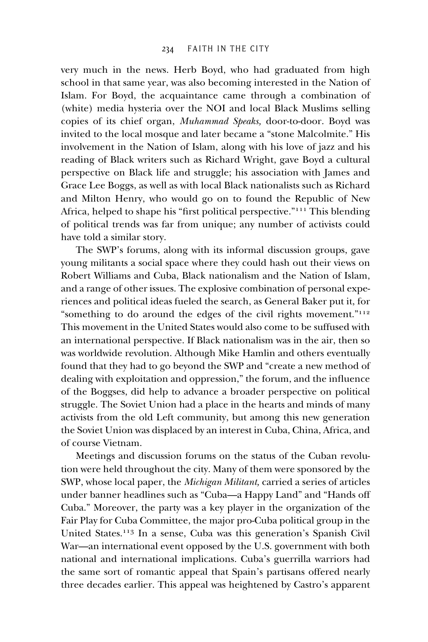very much in the news. Herb Boyd, who had graduated from high school in that same year, was also becoming interested in the Nation of Islam. For Boyd, the acquaintance came through a combination of (white) media hysteria over the NOI and local Black Muslims selling copies of its chief organ, *Muhammad Speaks,* door-to-door. Boyd was invited to the local mosque and later became a "stone Malcolmite." His involvement in the Nation of Islam, along with his love of jazz and his reading of Black writers such as Richard Wright, gave Boyd a cultural perspective on Black life and struggle; his association with James and Grace Lee Boggs, as well as with local Black nationalists such as Richard and Milton Henry, who would go on to found the Republic of New Africa, helped to shape his "first political perspective." $111$  This blending of political trends was far from unique; any number of activists could have told a similar story.

The SWP's forums, along with its informal discussion groups, gave young militants a social space where they could hash out their views on Robert Williams and Cuba, Black nationalism and the Nation of Islam, and a range of other issues. The explosive combination of personal experiences and political ideas fueled the search, as General Baker put it, for "something to do around the edges of the civil rights movement."<sup>112</sup> This movement in the United States would also come to be suffused with an international perspective. If Black nationalism was in the air, then so was worldwide revolution. Although Mike Hamlin and others eventually found that they had to go beyond the SWP and "create a new method of dealing with exploitation and oppression," the forum, and the influence of the Boggses, did help to advance a broader perspective on political struggle. The Soviet Union had a place in the hearts and minds of many activists from the old Left community, but among this new generation the Soviet Union was displaced by an interest in Cuba, China, Africa, and of course Vietnam.

Meetings and discussion forums on the status of the Cuban revolution were held throughout the city. Many of them were sponsored by the SWP, whose local paper, the *Michigan Militant,* carried a series of articles under banner headlines such as "Cuba—a Happy Land" and "Hands off Cuba." Moreover, the party was a key player in the organization of the Fair Play for Cuba Committee, the major pro-Cuba political group in the United States.113 In a sense, Cuba was this generation's Spanish Civil War—an international event opposed by the U.S. government with both national and international implications. Cuba's guerrilla warriors had the same sort of romantic appeal that Spain's partisans offered nearly three decades earlier. This appeal was heightened by Castro's apparent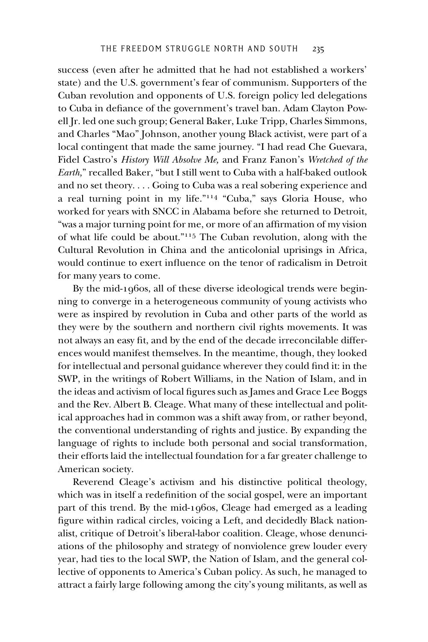success (even after he admitted that he had not established a workers' state) and the U.S. government's fear of communism. Supporters of the Cuban revolution and opponents of U.S. foreign policy led delegations to Cuba in defiance of the government's travel ban. Adam Clayton Powell Jr. led one such group; General Baker, Luke Tripp, Charles Simmons, and Charles "Mao" Johnson, another young Black activist, were part of a local contingent that made the same journey. "I had read Che Guevara, Fidel Castro's *History Will Absolve Me,* and Franz Fanon's *Wretched of the Earth,*" recalled Baker, "but I still went to Cuba with a half-baked outlook and no set theory. . . . Going to Cuba was a real sobering experience and a real turning point in my life."<sup>114</sup> "Cuba," says Gloria House, who worked for years with SNCC in Alabama before she returned to Detroit, "was a major turning point for me, or more of an affirmation of my vision of what life could be about."<sup>115</sup> The Cuban revolution, along with the Cultural Revolution in China and the anticolonial uprisings in Africa, would continue to exert influence on the tenor of radicalism in Detroit for many years to come.

By the mid-1960s, all of these diverse ideological trends were beginning to converge in a heterogeneous community of young activists who were as inspired by revolution in Cuba and other parts of the world as they were by the southern and northern civil rights movements. It was not always an easy fit, and by the end of the decade irreconcilable differences would manifest themselves. In the meantime, though, they looked for intellectual and personal guidance wherever they could find it: in the SWP, in the writings of Robert Williams, in the Nation of Islam, and in the ideas and activism of local figures such as James and Grace Lee Boggs and the Rev. Albert B. Cleage. What many of these intellectual and political approaches had in common was a shift away from, or rather beyond, the conventional understanding of rights and justice. By expanding the language of rights to include both personal and social transformation, their efforts laid the intellectual foundation for a far greater challenge to American society.

Reverend Cleage's activism and his distinctive political theology, which was in itself a redefinition of the social gospel, were an important part of this trend. By the mid-1960s, Cleage had emerged as a leading figure within radical circles, voicing a Left, and decidedly Black nationalist, critique of Detroit's liberal-labor coalition. Cleage, whose denunciations of the philosophy and strategy of nonviolence grew louder every year, had ties to the local SWP, the Nation of Islam, and the general collective of opponents to America's Cuban policy. As such, he managed to attract a fairly large following among the city's young militants, as well as